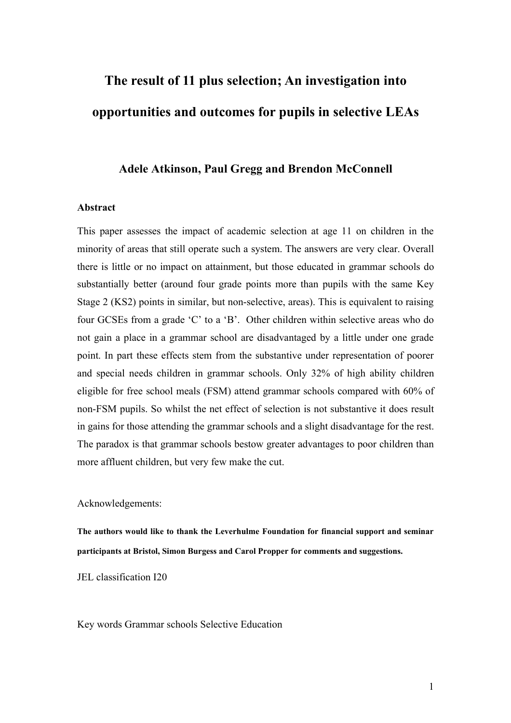# **The result of 11 plus selection; An investigation into opportunities and outcomes for pupils in selective LEAs**

# **Adele Atkinson, Paul Gregg and Brendon McConnell**

#### **Abstract**

This paper assesses the impact of academic selection at age 11 on children in the minority of areas that still operate such a system. The answers are very clear. Overall there is little or no impact on attainment, but those educated in grammar schools do substantially better (around four grade points more than pupils with the same Key Stage 2 (KS2) points in similar, but non-selective, areas). This is equivalent to raising four GCSEs from a grade 'C' to a 'B'. Other children within selective areas who do not gain a place in a grammar school are disadvantaged by a little under one grade point. In part these effects stem from the substantive under representation of poorer and special needs children in grammar schools. Only 32% of high ability children eligible for free school meals (FSM) attend grammar schools compared with 60% of non-FSM pupils. So whilst the net effect of selection is not substantive it does result in gains for those attending the grammar schools and a slight disadvantage for the rest. The paradox is that grammar schools bestow greater advantages to poor children than more affluent children, but very few make the cut.

Acknowledgements:

**The authors would like to thank the Leverhulme Foundation for financial support and seminar participants at Bristol, Simon Burgess and Carol Propper for comments and suggestions.** 

JEL classification I20

Key words Grammar schools Selective Education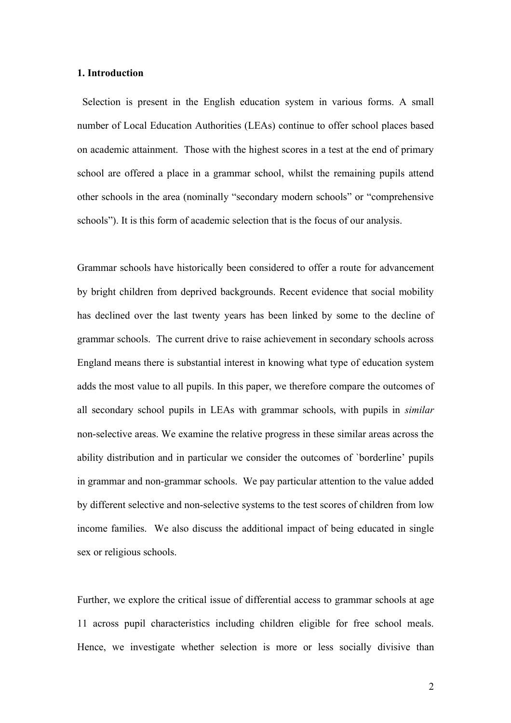### **1. Introduction**

Selection is present in the English education system in various forms. A small number of Local Education Authorities (LEAs) continue to offer school places based on academic attainment. Those with the highest scores in a test at the end of primary school are offered a place in a grammar school, whilst the remaining pupils attend other schools in the area (nominally "secondary modern schools" or "comprehensive schools"). It is this form of academic selection that is the focus of our analysis.

Grammar schools have historically been considered to offer a route for advancement by bright children from deprived backgrounds. Recent evidence that social mobility has declined over the last twenty years has been linked by some to the decline of grammar schools. The current drive to raise achievement in secondary schools across England means there is substantial interest in knowing what type of education system adds the most value to all pupils. In this paper, we therefore compare the outcomes of all secondary school pupils in LEAs with grammar schools, with pupils in *similar* non-selective areas. We examine the relative progress in these similar areas across the ability distribution and in particular we consider the outcomes of `borderline' pupils in grammar and non-grammar schools. We pay particular attention to the value added by different selective and non-selective systems to the test scores of children from low income families. We also discuss the additional impact of being educated in single sex or religious schools.

Further, we explore the critical issue of differential access to grammar schools at age 11 across pupil characteristics including children eligible for free school meals. Hence, we investigate whether selection is more or less socially divisive than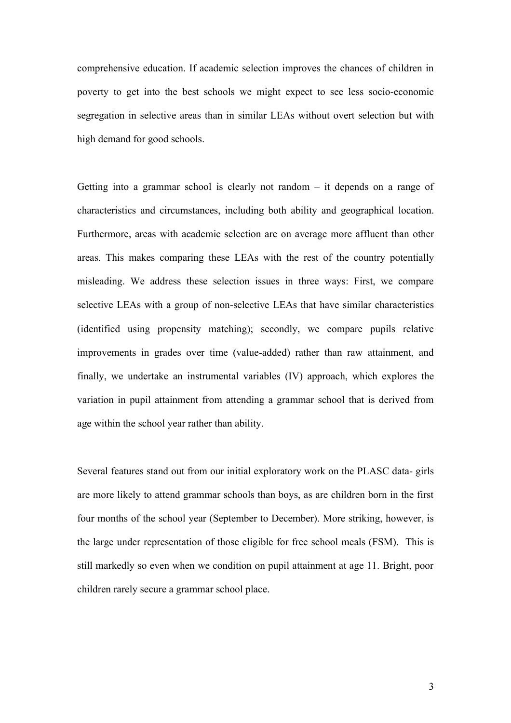comprehensive education. If academic selection improves the chances of children in poverty to get into the best schools we might expect to see less socio-economic segregation in selective areas than in similar LEAs without overt selection but with high demand for good schools.

Getting into a grammar school is clearly not random – it depends on a range of characteristics and circumstances, including both ability and geographical location. Furthermore, areas with academic selection are on average more affluent than other areas. This makes comparing these LEAs with the rest of the country potentially misleading. We address these selection issues in three ways: First, we compare selective LEAs with a group of non-selective LEAs that have similar characteristics (identified using propensity matching); secondly, we compare pupils relative improvements in grades over time (value-added) rather than raw attainment, and finally, we undertake an instrumental variables (IV) approach, which explores the variation in pupil attainment from attending a grammar school that is derived from age within the school year rather than ability.

Several features stand out from our initial exploratory work on the PLASC data- girls are more likely to attend grammar schools than boys, as are children born in the first four months of the school year (September to December). More striking, however, is the large under representation of those eligible for free school meals (FSM). This is still markedly so even when we condition on pupil attainment at age 11. Bright, poor children rarely secure a grammar school place.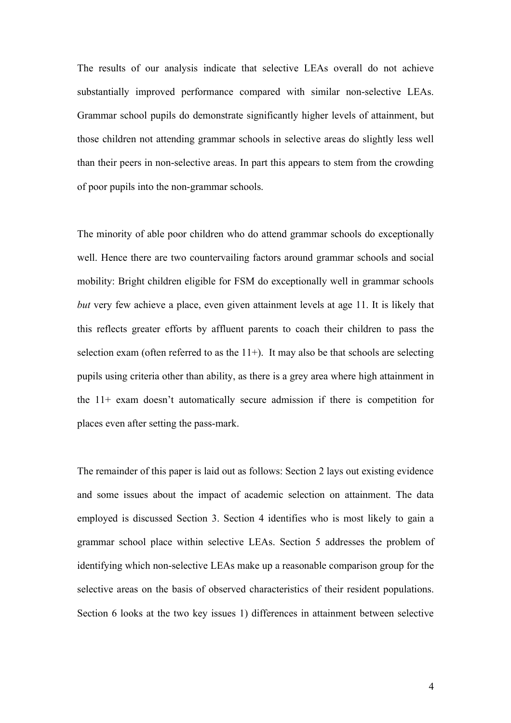The results of our analysis indicate that selective LEAs overall do not achieve substantially improved performance compared with similar non-selective LEAs. Grammar school pupils do demonstrate significantly higher levels of attainment, but those children not attending grammar schools in selective areas do slightly less well than their peers in non-selective areas. In part this appears to stem from the crowding of poor pupils into the non-grammar schools.

The minority of able poor children who do attend grammar schools do exceptionally well. Hence there are two countervailing factors around grammar schools and social mobility: Bright children eligible for FSM do exceptionally well in grammar schools *but* very few achieve a place, even given attainment levels at age 11. It is likely that this reflects greater efforts by affluent parents to coach their children to pass the selection exam (often referred to as the  $11+$ ). It may also be that schools are selecting pupils using criteria other than ability, as there is a grey area where high attainment in the 11+ exam doesn't automatically secure admission if there is competition for places even after setting the pass-mark.

The remainder of this paper is laid out as follows: Section 2 lays out existing evidence and some issues about the impact of academic selection on attainment. The data employed is discussed Section 3. Section 4 identifies who is most likely to gain a grammar school place within selective LEAs. Section 5 addresses the problem of identifying which non-selective LEAs make up a reasonable comparison group for the selective areas on the basis of observed characteristics of their resident populations. Section 6 looks at the two key issues 1) differences in attainment between selective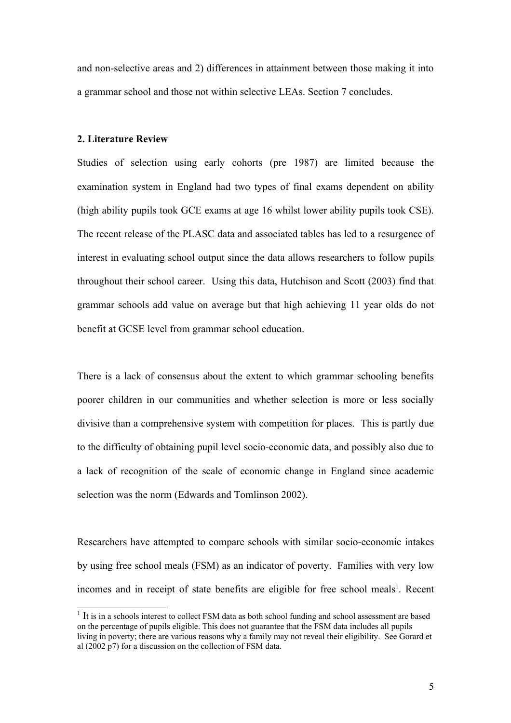and non-selective areas and 2) differences in attainment between those making it into a grammar school and those not within selective LEAs. Section 7 concludes.

## **2. Literature Review**

Studies of selection using early cohorts (pre 1987) are limited because the examination system in England had two types of final exams dependent on ability (high ability pupils took GCE exams at age 16 whilst lower ability pupils took CSE). The recent release of the PLASC data and associated tables has led to a resurgence of interest in evaluating school output since the data allows researchers to follow pupils throughout their school career. Using this data, Hutchison and Scott (2003) find that grammar schools add value on average but that high achieving 11 year olds do not benefit at GCSE level from grammar school education.

There is a lack of consensus about the extent to which grammar schooling benefits poorer children in our communities and whether selection is more or less socially divisive than a comprehensive system with competition for places. This is partly due to the difficulty of obtaining pupil level socio-economic data, and possibly also due to a lack of recognition of the scale of economic change in England since academic selection was the norm (Edwards and Tomlinson 2002).

Researchers have attempted to compare schools with similar socio-economic intakes by using free school meals (FSM) as an indicator of poverty. Families with very low incomes and in receipt of state benefits are eligible for free school meals<sup>[1](#page-4-0)</sup>. Recent

<span id="page-4-0"></span> $1$  It is in a schools interest to collect FSM data as both school funding and school assessment are based on the percentage of pupils eligible. This does not guarantee that the FSM data includes all pupils living in poverty; there are various reasons why a family may not reveal their eligibility. See Gorard et al (2002 p7) for a discussion on the collection of FSM data.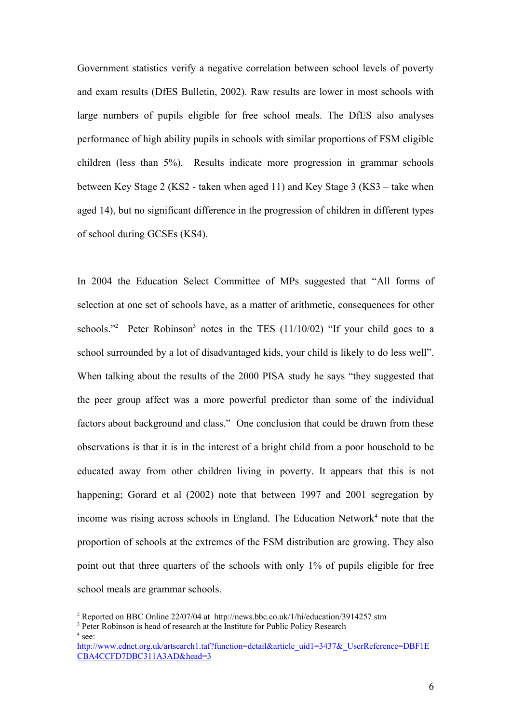Government statistics verify a negative correlation between school levels of poverty and exam results (DfES Bulletin, 2002). Raw results are lower in most schools with large numbers of pupils eligible for free school meals. The DfES also analyses performance of high ability pupils in schools with similar proportions of FSM eligible children (less than 5%). Results indicate more progression in grammar schools between Key Stage 2 (KS2 - taken when aged 11) and Key Stage 3 (KS3 – take when aged 14), but no significant difference in the progression of children in different types of school during GCSEs (KS4).

In 2004 the Education Select Committee of MPs suggested that "All forms of selection at one set of schools have, as a matter of arithmetic, consequences for other schools."<sup>[2](#page-5-0)</sup> Peter Robinson<sup>[3](#page-5-1)</sup> notes in the TES  $(11/10/02)$  "If your child goes to a school surrounded by a lot of disadvantaged kids, your child is likely to do less well". When talking about the results of the 2000 PISA study he says "they suggested that the peer group affect was a more powerful predictor than some of the individual factors about background and class." One conclusion that could be drawn from these observations is that it is in the interest of a bright child from a poor household to be educated away from other children living in poverty. It appears that this is not happening; Gorard et al (2002) note that between 1997 and 2001 segregation by income was rising across schools in England. The Education Network $4$  note that the proportion of schools at the extremes of the FSM distribution are growing. They also point out that three quarters of the schools with only 1% of pupils eligible for free school meals are grammar schools.

<span id="page-5-0"></span><sup>&</sup>lt;sup>2</sup> Reported on BBC Online 22/07/04 at http://news.bbc.co.uk/1/hi/education/3914257.stm

<span id="page-5-2"></span><span id="page-5-1"></span><sup>&</sup>lt;sup>3</sup> Peter Robinson is head of research at the Institute for Public Policy Research  $4$  see:

[http://www.ednet.org.uk/artsearch1.taf?function=detail&article\\_uid1=3437&\\_UserReference=DBF1E](http://www.ednet.org.uk/artsearch1.taf?function=detail&article_uid1=3437&_UserReference=DBF1ECBA4CCFD7DBC311A3AD&head=3) [CBA4CCFD7DBC311A3AD&head=3](http://www.ednet.org.uk/artsearch1.taf?function=detail&article_uid1=3437&_UserReference=DBF1ECBA4CCFD7DBC311A3AD&head=3)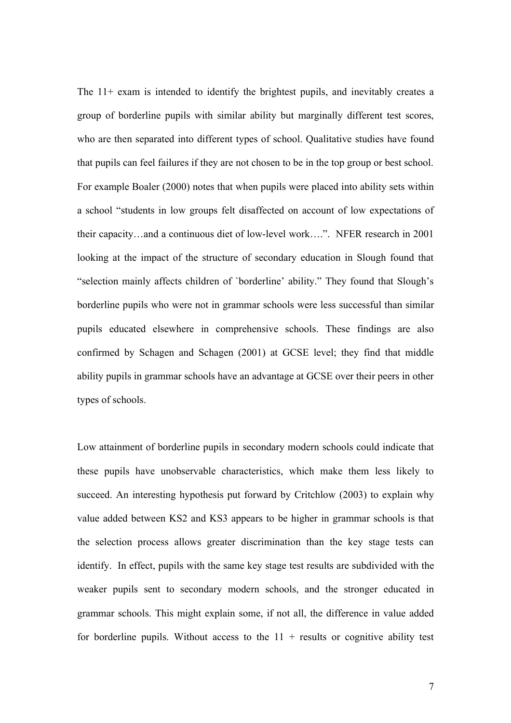The 11+ exam is intended to identify the brightest pupils, and inevitably creates a group of borderline pupils with similar ability but marginally different test scores, who are then separated into different types of school. Qualitative studies have found that pupils can feel failures if they are not chosen to be in the top group or best school. For example Boaler (2000) notes that when pupils were placed into ability sets within a school "students in low groups felt disaffected on account of low expectations of their capacity…and a continuous diet of low-level work….". NFER research in 2001 looking at the impact of the structure of secondary education in Slough found that "selection mainly affects children of `borderline' ability." They found that Slough's borderline pupils who were not in grammar schools were less successful than similar pupils educated elsewhere in comprehensive schools. These findings are also confirmed by Schagen and Schagen (2001) at GCSE level; they find that middle ability pupils in grammar schools have an advantage at GCSE over their peers in other types of schools.

Low attainment of borderline pupils in secondary modern schools could indicate that these pupils have unobservable characteristics, which make them less likely to succeed. An interesting hypothesis put forward by Critchlow (2003) to explain why value added between KS2 and KS3 appears to be higher in grammar schools is that the selection process allows greater discrimination than the key stage tests can identify. In effect, pupils with the same key stage test results are subdivided with the weaker pupils sent to secondary modern schools, and the stronger educated in grammar schools. This might explain some, if not all, the difference in value added for borderline pupils. Without access to the  $11 +$  results or cognitive ability test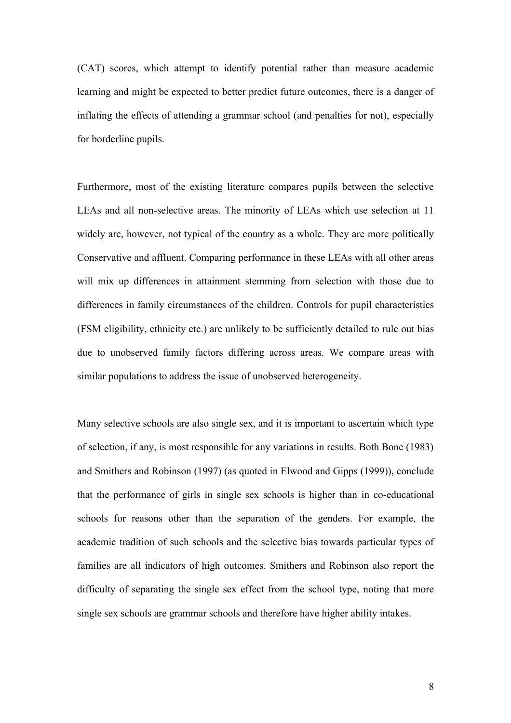(CAT) scores, which attempt to identify potential rather than measure academic learning and might be expected to better predict future outcomes, there is a danger of inflating the effects of attending a grammar school (and penalties for not), especially for borderline pupils.

Furthermore, most of the existing literature compares pupils between the selective LEAs and all non-selective areas. The minority of LEAs which use selection at 11 widely are, however, not typical of the country as a whole. They are more politically Conservative and affluent. Comparing performance in these LEAs with all other areas will mix up differences in attainment stemming from selection with those due to differences in family circumstances of the children. Controls for pupil characteristics (FSM eligibility, ethnicity etc.) are unlikely to be sufficiently detailed to rule out bias due to unobserved family factors differing across areas. We compare areas with similar populations to address the issue of unobserved heterogeneity.

Many selective schools are also single sex, and it is important to ascertain which type of selection, if any, is most responsible for any variations in results. Both Bone (1983) and Smithers and Robinson (1997) (as quoted in Elwood and Gipps (1999)), conclude that the performance of girls in single sex schools is higher than in co-educational schools for reasons other than the separation of the genders. For example, the academic tradition of such schools and the selective bias towards particular types of families are all indicators of high outcomes. Smithers and Robinson also report the difficulty of separating the single sex effect from the school type, noting that more single sex schools are grammar schools and therefore have higher ability intakes.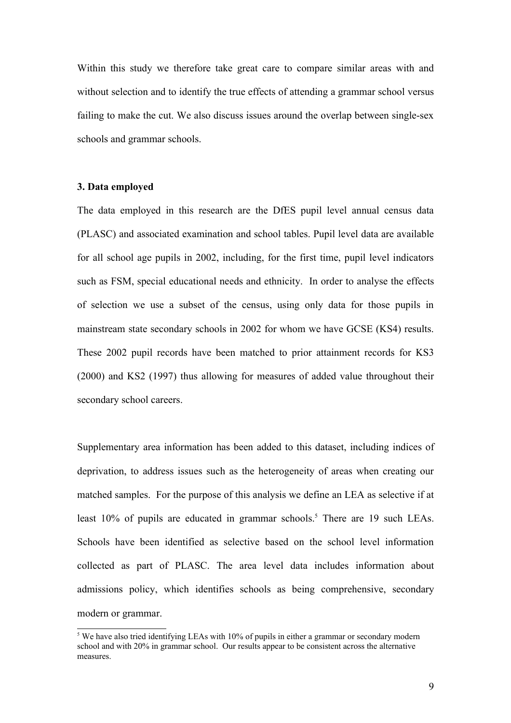Within this study we therefore take great care to compare similar areas with and without selection and to identify the true effects of attending a grammar school versus failing to make the cut. We also discuss issues around the overlap between single-sex schools and grammar schools.

### **3. Data employed**

The data employed in this research are the DfES pupil level annual census data (PLASC) and associated examination and school tables. Pupil level data are available for all school age pupils in 2002, including, for the first time, pupil level indicators such as FSM, special educational needs and ethnicity. In order to analyse the effects of selection we use a subset of the census, using only data for those pupils in mainstream state secondary schools in 2002 for whom we have GCSE (KS4) results. These 2002 pupil records have been matched to prior attainment records for KS3 (2000) and KS2 (1997) thus allowing for measures of added value throughout their secondary school careers.

Supplementary area information has been added to this dataset, including indices of deprivation, to address issues such as the heterogeneity of areas when creating our matched samples. For the purpose of this analysis we define an LEA as selective if at least 10% of pupils are educated in grammar schools. [5](#page-8-0) There are 19 such LEAs. Schools have been identified as selective based on the school level information collected as part of PLASC. The area level data includes information about admissions policy, which identifies schools as being comprehensive, secondary modern or grammar.

<span id="page-8-0"></span><sup>&</sup>lt;sup>5</sup> We have also tried identifying LEAs with 10% of pupils in either a grammar or secondary modern school and with 20% in grammar school. Our results appear to be consistent across the alternative measures.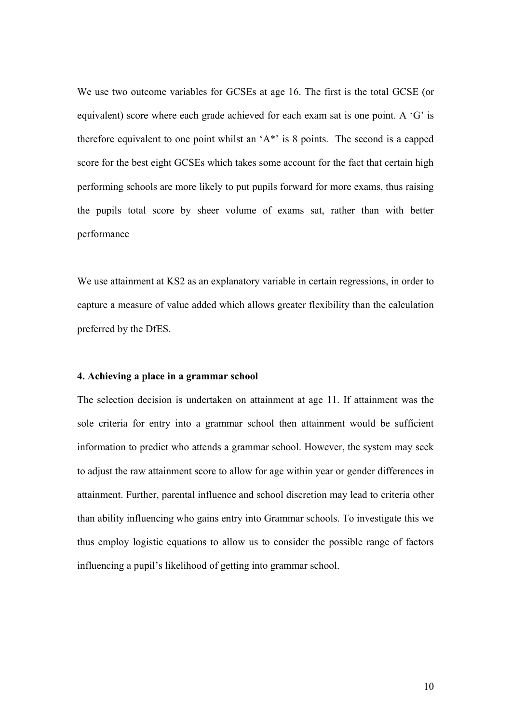We use two outcome variables for GCSEs at age 16. The first is the total GCSE (or equivalent) score where each grade achieved for each exam sat is one point. A 'G' is therefore equivalent to one point whilst an 'A\*' is 8 points. The second is a capped score for the best eight GCSEs which takes some account for the fact that certain high performing schools are more likely to put pupils forward for more exams, thus raising the pupils total score by sheer volume of exams sat, rather than with better performance

We use attainment at KS2 as an explanatory variable in certain regressions, in order to capture a measure of value added which allows greater flexibility than the calculation preferred by the DfES.

#### **4. Achieving a place in a grammar school**

The selection decision is undertaken on attainment at age 11. If attainment was the sole criteria for entry into a grammar school then attainment would be sufficient information to predict who attends a grammar school. However, the system may seek to adjust the raw attainment score to allow for age within year or gender differences in attainment. Further, parental influence and school discretion may lead to criteria other than ability influencing who gains entry into Grammar schools. To investigate this we thus employ logistic equations to allow us to consider the possible range of factors influencing a pupil's likelihood of getting into grammar school.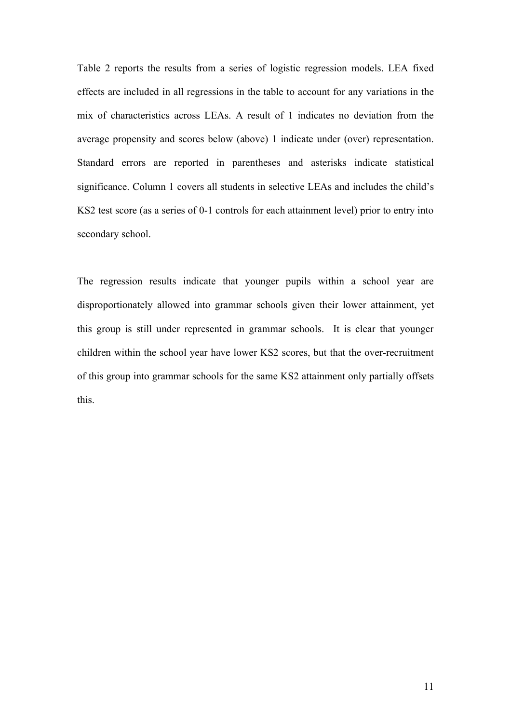Table 2 reports the results from a series of logistic regression models. LEA fixed effects are included in all regressions in the table to account for any variations in the mix of characteristics across LEAs. A result of 1 indicates no deviation from the average propensity and scores below (above) 1 indicate under (over) representation. Standard errors are reported in parentheses and asterisks indicate statistical significance. Column 1 covers all students in selective LEAs and includes the child's KS2 test score (as a series of 0-1 controls for each attainment level) prior to entry into secondary school.

The regression results indicate that younger pupils within a school year are disproportionately allowed into grammar schools given their lower attainment, yet this group is still under represented in grammar schools. It is clear that younger children within the school year have lower KS2 scores, but that the over-recruitment of this group into grammar schools for the same KS2 attainment only partially offsets this.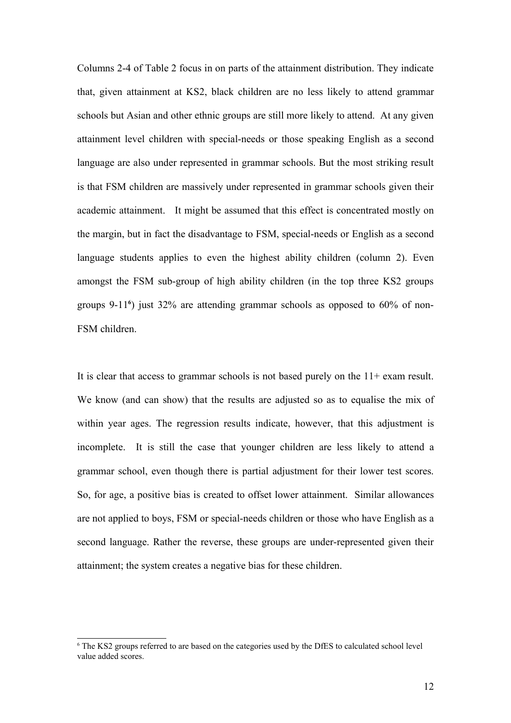Columns 2-4 of Table 2 focus in on parts of the attainment distribution. They indicate that, given attainment at KS2, black children are no less likely to attend grammar schools but Asian and other ethnic groups are still more likely to attend. At any given attainment level children with special-needs or those speaking English as a second language are also under represented in grammar schools. But the most striking result is that FSM children are massively under represented in grammar schools given their academic attainment. It might be assumed that this effect is concentrated mostly on the margin, but in fact the disadvantage to FSM, special-needs or English as a second language students applies to even the highest ability children (column 2). Even amongst the FSM sub-group of high ability children (in the top three KS2 groups groups 9-11**[6](#page-11-0)** ) just 32% are attending grammar schools as opposed to 60% of non-FSM children.

It is clear that access to grammar schools is not based purely on the 11+ exam result. We know (and can show) that the results are adjusted so as to equalise the mix of within year ages. The regression results indicate, however, that this adjustment is incomplete. It is still the case that younger children are less likely to attend a grammar school, even though there is partial adjustment for their lower test scores. So, for age, a positive bias is created to offset lower attainment. Similar allowances are not applied to boys, FSM or special-needs children or those who have English as a second language. Rather the reverse, these groups are under-represented given their attainment; the system creates a negative bias for these children.

<span id="page-11-0"></span><sup>6</sup> The KS2 groups referred to are based on the categories used by the DfES to calculated school level value added scores.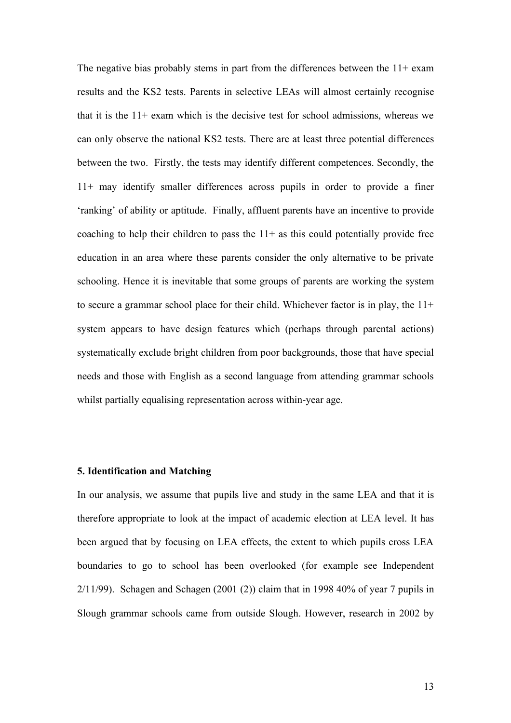The negative bias probably stems in part from the differences between the  $11+$  exam results and the KS2 tests. Parents in selective LEAs will almost certainly recognise that it is the 11+ exam which is the decisive test for school admissions, whereas we can only observe the national KS2 tests. There are at least three potential differences between the two. Firstly, the tests may identify different competences. Secondly, the 11+ may identify smaller differences across pupils in order to provide a finer 'ranking' of ability or aptitude. Finally, affluent parents have an incentive to provide coaching to help their children to pass the  $11+$  as this could potentially provide free education in an area where these parents consider the only alternative to be private schooling. Hence it is inevitable that some groups of parents are working the system to secure a grammar school place for their child. Whichever factor is in play, the 11+ system appears to have design features which (perhaps through parental actions) systematically exclude bright children from poor backgrounds, those that have special needs and those with English as a second language from attending grammar schools whilst partially equalising representation across within-year age.

#### **5. Identification and Matching**

In our analysis, we assume that pupils live and study in the same LEA and that it is therefore appropriate to look at the impact of academic election at LEA level. It has been argued that by focusing on LEA effects, the extent to which pupils cross LEA boundaries to go to school has been overlooked (for example see Independent  $2/11/99$ ). Schagen and Schagen (2001 (2)) claim that in 1998 40% of year 7 pupils in Slough grammar schools came from outside Slough. However, research in 2002 by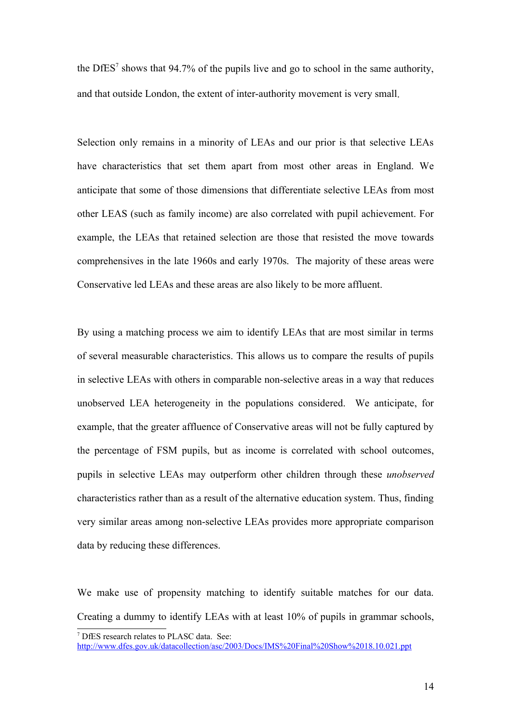the DfES [7](#page-13-0) shows that 94.7% of the pupils live and go to school in the same authority, and that outside London, the extent of inter-authority movement is very small.

Selection only remains in a minority of LEAs and our prior is that selective LEAs have characteristics that set them apart from most other areas in England. We anticipate that some of those dimensions that differentiate selective LEAs from most other LEAS (such as family income) are also correlated with pupil achievement. For example, the LEAs that retained selection are those that resisted the move towards comprehensives in the late 1960s and early 1970s. The majority of these areas were Conservative led LEAs and these areas are also likely to be more affluent.

By using a matching process we aim to identify LEAs that are most similar in terms of several measurable characteristics. This allows us to compare the results of pupils in selective LEAs with others in comparable non-selective areas in a way that reduces unobserved LEA heterogeneity in the populations considered. We anticipate, for example, that the greater affluence of Conservative areas will not be fully captured by the percentage of FSM pupils, but as income is correlated with school outcomes, pupils in selective LEAs may outperform other children through these *unobserved* characteristics rather than as a result of the alternative education system. Thus, finding very similar areas among non-selective LEAs provides more appropriate comparison data by reducing these differences.

We make use of propensity matching to identify suitable matches for our data. Creating a dummy to identify LEAs with at least 10% of pupils in grammar schools,

<span id="page-13-0"></span><sup>7</sup> DfES research relates to PLASC data. See: [http://www.dfes.gov.uk/datacollection/asc/2003/Docs/IMS%20Final%20Show%2018.10.021.ppt](http://www.dfes.gov.uk/datacollection/asc/2003/Docs/IMS Final Show 18.10.021.ppt)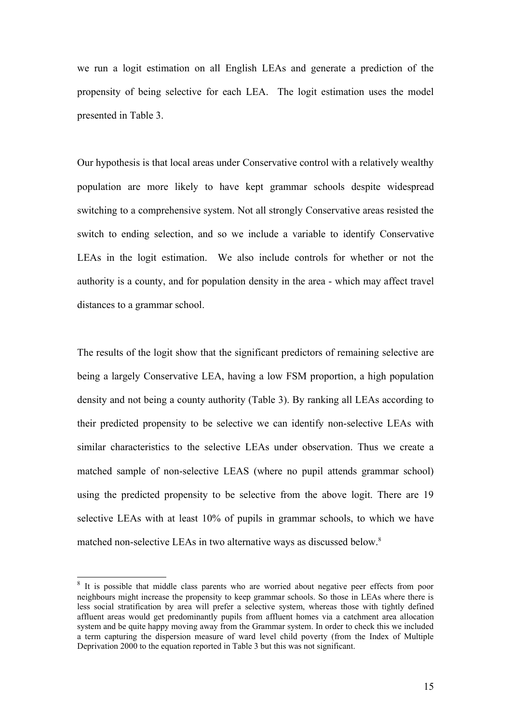we run a logit estimation on all English LEAs and generate a prediction of the propensity of being selective for each LEA. The logit estimation uses the model presented in Table 3.

Our hypothesis is that local areas under Conservative control with a relatively wealthy population are more likely to have kept grammar schools despite widespread switching to a comprehensive system. Not all strongly Conservative areas resisted the switch to ending selection, and so we include a variable to identify Conservative LEAs in the logit estimation. We also include controls for whether or not the authority is a county, and for population density in the area - which may affect travel distances to a grammar school.

The results of the logit show that the significant predictors of remaining selective are being a largely Conservative LEA, having a low FSM proportion, a high population density and not being a county authority (Table 3). By ranking all LEAs according to their predicted propensity to be selective we can identify non-selective LEAs with similar characteristics to the selective LEAs under observation. Thus we create a matched sample of non-selective LEAS (where no pupil attends grammar school) using the predicted propensity to be selective from the above logit. There are 19 selective LEAs with at least 10% of pupils in grammar schools, to which we have matched non-selective LEAs in two alternative ways as discussed below. [8](#page-14-0)

<span id="page-14-0"></span><sup>&</sup>lt;sup>8</sup> It is possible that middle class parents who are worried about negative peer effects from poor neighbours might increase the propensity to keep grammar schools. So those in LEAs where there is less social stratification by area will prefer a selective system, whereas those with tightly defined affluent areas would get predominantly pupils from affluent homes via a catchment area allocation system and be quite happy moving away from the Grammar system. In order to check this we included a term capturing the dispersion measure of ward level child poverty (from the Index of Multiple Deprivation 2000 to the equation reported in Table 3 but this was not significant.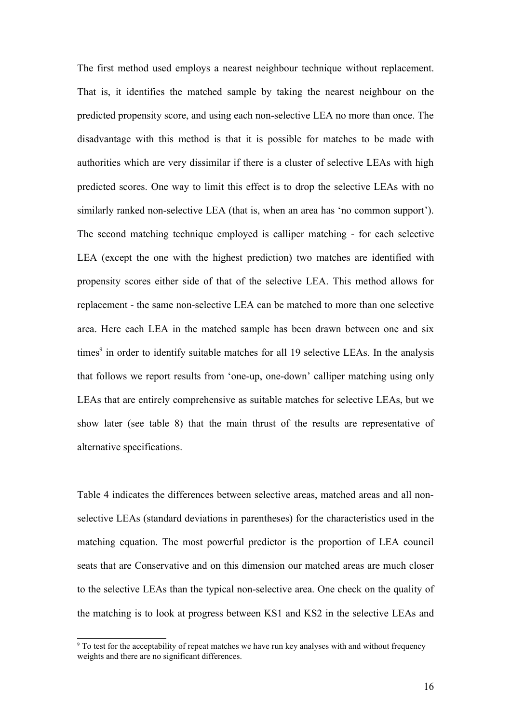The first method used employs a nearest neighbour technique without replacement. That is, it identifies the matched sample by taking the nearest neighbour on the predicted propensity score, and using each non-selective LEA no more than once. The disadvantage with this method is that it is possible for matches to be made with authorities which are very dissimilar if there is a cluster of selective LEAs with high predicted scores. One way to limit this effect is to drop the selective LEAs with no similarly ranked non-selective LEA (that is, when an area has 'no common support'). The second matching technique employed is calliper matching - for each selective LEA (except the one with the highest prediction) two matches are identified with propensity scores either side of that of the selective LEA. This method allows for replacement - the same non-selective LEA can be matched to more than one selective area. Here each LEA in the matched sample has been drawn between one and six times [9](#page-15-0) in order to identify suitable matches for all 19 selective LEAs. In the analysis that follows we report results from 'one-up, one-down' calliper matching using only LEAs that are entirely comprehensive as suitable matches for selective LEAs, but we show later (see table 8) that the main thrust of the results are representative of alternative specifications.

Table 4 indicates the differences between selective areas, matched areas and all nonselective LEAs (standard deviations in parentheses) for the characteristics used in the matching equation. The most powerful predictor is the proportion of LEA council seats that are Conservative and on this dimension our matched areas are much closer to the selective LEAs than the typical non-selective area. One check on the quality of the matching is to look at progress between KS1 and KS2 in the selective LEAs and

<span id="page-15-0"></span><sup>&</sup>lt;sup>9</sup> To test for the acceptability of repeat matches we have run key analyses with and without frequency weights and there are no significant differences.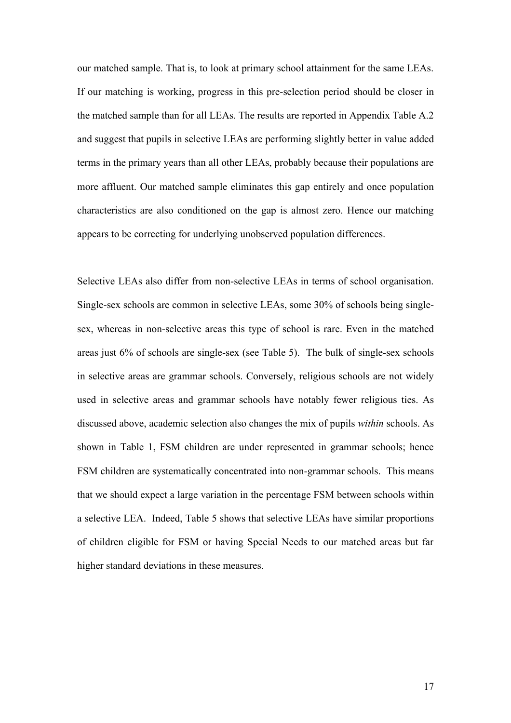our matched sample. That is, to look at primary school attainment for the same LEAs. If our matching is working, progress in this pre-selection period should be closer in the matched sample than for all LEAs. The results are reported in Appendix Table A.2 and suggest that pupils in selective LEAs are performing slightly better in value added terms in the primary years than all other LEAs, probably because their populations are more affluent. Our matched sample eliminates this gap entirely and once population characteristics are also conditioned on the gap is almost zero. Hence our matching appears to be correcting for underlying unobserved population differences.

Selective LEAs also differ from non-selective LEAs in terms of school organisation. Single-sex schools are common in selective LEAs, some 30% of schools being singlesex, whereas in non-selective areas this type of school is rare. Even in the matched areas just 6% of schools are single-sex (see Table 5). The bulk of single-sex schools in selective areas are grammar schools. Conversely, religious schools are not widely used in selective areas and grammar schools have notably fewer religious ties. As discussed above, academic selection also changes the mix of pupils *within* schools. As shown in Table 1, FSM children are under represented in grammar schools; hence FSM children are systematically concentrated into non-grammar schools. This means that we should expect a large variation in the percentage FSM between schools within a selective LEA. Indeed, Table 5 shows that selective LEAs have similar proportions of children eligible for FSM or having Special Needs to our matched areas but far higher standard deviations in these measures.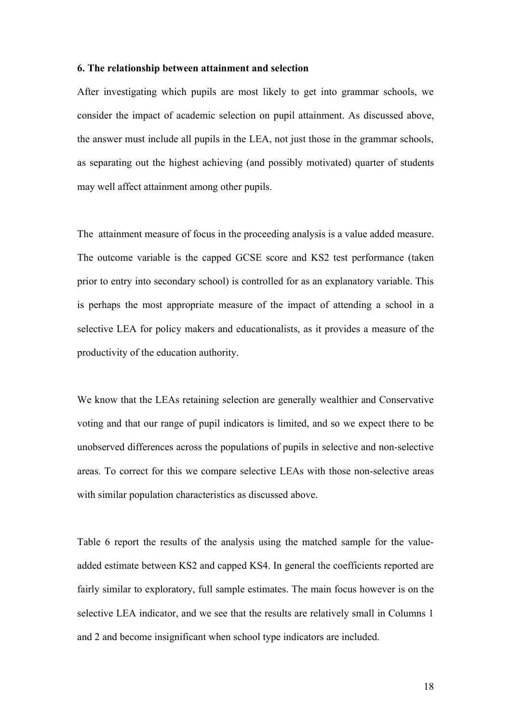#### **6. The relationship between attainment and selection**

After investigating which pupils are most likely to get into grammar schools, we consider the impact of academic selection on pupil attainment. As discussed above, the answer must include all pupils in the LEA, not just those in the grammar schools, as separating out the highest achieving (and possibly motivated) quarter of students may well affect attainment among other pupils.

The attainment measure of focus in the proceeding analysis is a value added measure. The outcome variable is the capped GCSE score and KS2 test performance (taken prior to entry into secondary school) is controlled for as an explanatory variable. This is perhaps the most appropriate measure of the impact of attending a school in a selective LEA for policy makers and educationalists, as it provides a measure of the productivity of the education authority.

We know that the LEAs retaining selection are generally wealthier and Conservative voting and that our range of pupil indicators is limited, and so we expect there to be unobserved differences across the populations of pupils in selective and non-selective areas. To correct for this we compare selective LEAs with those non-selective areas with similar population characteristics as discussed above.

Table 6 report the results of the analysis using the matched sample for the valueadded estimate between KS2 and capped KS4. In general the coefficients reported are fairly similar to exploratory, full sample estimates. The main focus however is on the selective LEA indicator, and we see that the results are relatively small in Columns 1 and 2 and become insignificant when school type indicators are included.

18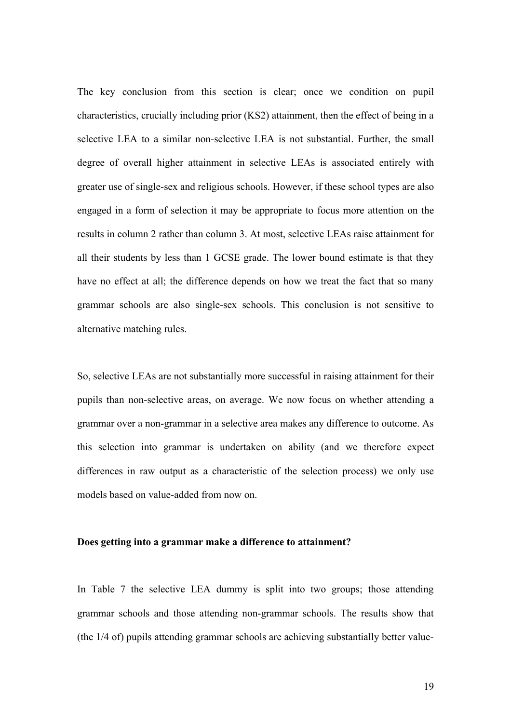The key conclusion from this section is clear; once we condition on pupil characteristics, crucially including prior (KS2) attainment, then the effect of being in a selective LEA to a similar non-selective LEA is not substantial. Further, the small degree of overall higher attainment in selective LEAs is associated entirely with greater use of single-sex and religious schools. However, if these school types are also engaged in a form of selection it may be appropriate to focus more attention on the results in column 2 rather than column 3. At most, selective LEAs raise attainment for all their students by less than 1 GCSE grade. The lower bound estimate is that they have no effect at all; the difference depends on how we treat the fact that so many grammar schools are also single-sex schools. This conclusion is not sensitive to alternative matching rules.

So, selective LEAs are not substantially more successful in raising attainment for their pupils than non-selective areas, on average. We now focus on whether attending a grammar over a non-grammar in a selective area makes any difference to outcome. As this selection into grammar is undertaken on ability (and we therefore expect differences in raw output as a characteristic of the selection process) we only use models based on value-added from now on.

#### **Does getting into a grammar make a difference to attainment?**

In Table 7 the selective LEA dummy is split into two groups; those attending grammar schools and those attending non-grammar schools. The results show that (the 1/4 of) pupils attending grammar schools are achieving substantially better value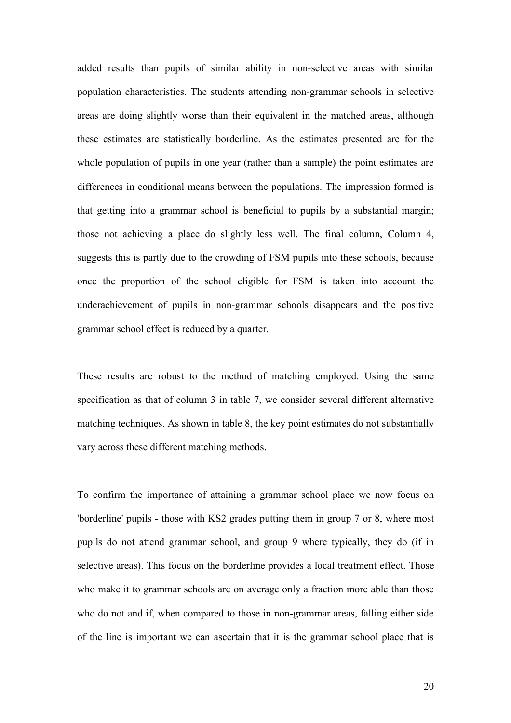added results than pupils of similar ability in non-selective areas with similar population characteristics. The students attending non-grammar schools in selective areas are doing slightly worse than their equivalent in the matched areas, although these estimates are statistically borderline. As the estimates presented are for the whole population of pupils in one year (rather than a sample) the point estimates are differences in conditional means between the populations. The impression formed is that getting into a grammar school is beneficial to pupils by a substantial margin; those not achieving a place do slightly less well. The final column, Column 4, suggests this is partly due to the crowding of FSM pupils into these schools, because once the proportion of the school eligible for FSM is taken into account the underachievement of pupils in non-grammar schools disappears and the positive grammar school effect is reduced by a quarter.

These results are robust to the method of matching employed. Using the same specification as that of column 3 in table 7, we consider several different alternative matching techniques. As shown in table 8, the key point estimates do not substantially vary across these different matching methods.

To confirm the importance of attaining a grammar school place we now focus on 'borderline' pupils - those with KS2 grades putting them in group 7 or 8, where most pupils do not attend grammar school, and group 9 where typically, they do (if in selective areas). This focus on the borderline provides a local treatment effect. Those who make it to grammar schools are on average only a fraction more able than those who do not and if, when compared to those in non-grammar areas, falling either side of the line is important we can ascertain that it is the grammar school place that is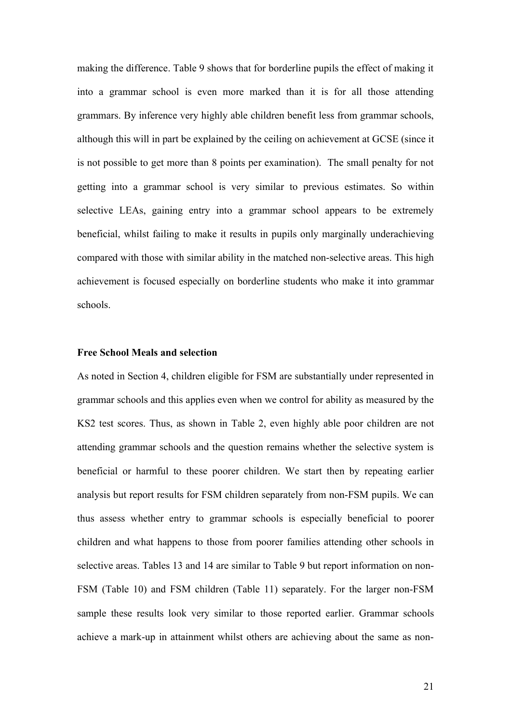making the difference. Table 9 shows that for borderline pupils the effect of making it into a grammar school is even more marked than it is for all those attending grammars. By inference very highly able children benefit less from grammar schools, although this will in part be explained by the ceiling on achievement at GCSE (since it is not possible to get more than 8 points per examination). The small penalty for not getting into a grammar school is very similar to previous estimates. So within selective LEAs, gaining entry into a grammar school appears to be extremely beneficial, whilst failing to make it results in pupils only marginally underachieving compared with those with similar ability in the matched non-selective areas. This high achievement is focused especially on borderline students who make it into grammar schools.

### **Free School Meals and selection**

As noted in Section 4, children eligible for FSM are substantially under represented in grammar schools and this applies even when we control for ability as measured by the KS2 test scores. Thus, as shown in Table 2, even highly able poor children are not attending grammar schools and the question remains whether the selective system is beneficial or harmful to these poorer children. We start then by repeating earlier analysis but report results for FSM children separately from non-FSM pupils. We can thus assess whether entry to grammar schools is especially beneficial to poorer children and what happens to those from poorer families attending other schools in selective areas. Tables 13 and 14 are similar to Table 9 but report information on non-FSM (Table 10) and FSM children (Table 11) separately. For the larger non-FSM sample these results look very similar to those reported earlier. Grammar schools achieve a mark-up in attainment whilst others are achieving about the same as non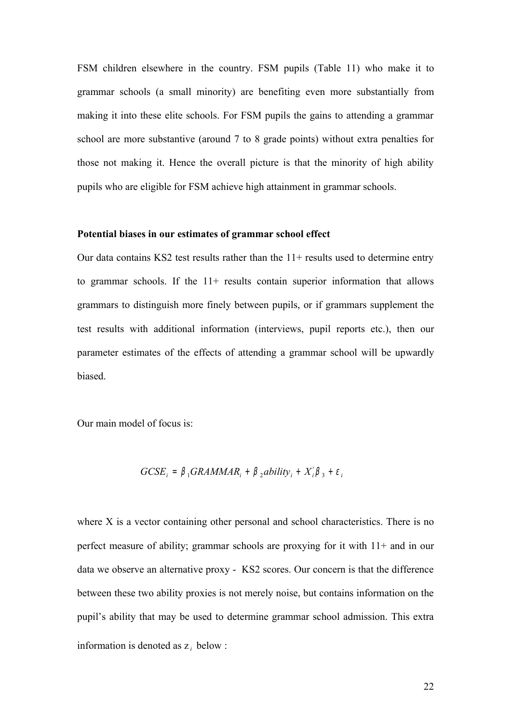FSM children elsewhere in the country. FSM pupils (Table 11) who make it to grammar schools (a small minority) are benefiting even more substantially from making it into these elite schools. For FSM pupils the gains to attending a grammar school are more substantive (around 7 to 8 grade points) without extra penalties for those not making it. Hence the overall picture is that the minority of high ability pupils who are eligible for FSM achieve high attainment in grammar schools.

#### **Potential biases in our estimates of grammar school effect**

Our data contains KS2 test results rather than the  $11+$  results used to determine entry to grammar schools. If the 11+ results contain superior information that allows grammars to distinguish more finely between pupils, or if grammars supplement the test results with additional information (interviews, pupil reports etc.), then our parameter estimates of the effects of attending a grammar school will be upwardly biased.

Our main model of focus is:

$$
GCSE_i = \beta_1 GRAMMAR_i + \beta_2 ability_i + X_i'\beta_3 + \varepsilon_i
$$

where X is a vector containing other personal and school characteristics. There is no perfect measure of ability; grammar schools are proxying for it with 11+ and in our data we observe an alternative proxy - KS2 scores. Our concern is that the difference between these two ability proxies is not merely noise, but contains information on the pupil's ability that may be used to determine grammar school admission. This extra information is denoted as  $z_i$  below :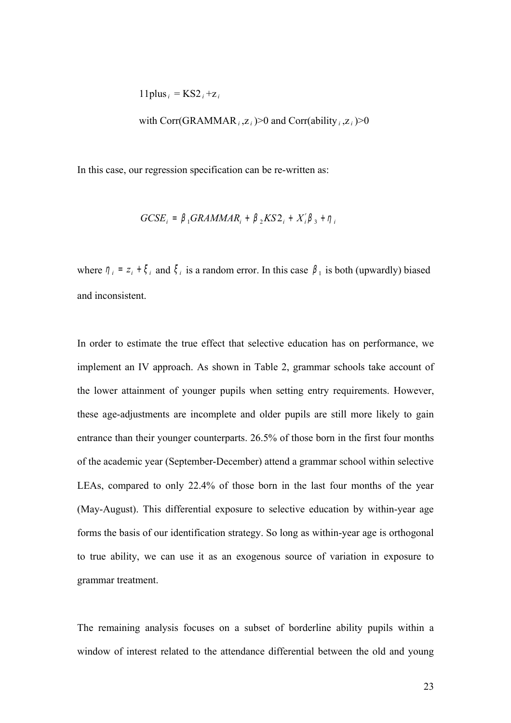$$
11 plus_i = KS2_i + z_i
$$

with Corr(GRAMMAR<sub>*i*</sub>, $z_i$ )>0 and Corr(ability<sub>*i*</sub>, $z_i$ )>0

In this case, our regression specification can be re-written as:

$$
GCSE_i = \beta_1 GRAMMAR_i + \beta_2 KS2_i + X_i'\beta_3 + \eta_i
$$

where  $\eta_i = z_i + \xi_i$  and  $\xi_i$  is a random error. In this case  $\beta_1$  is both (upwardly) biased and inconsistent.

In order to estimate the true effect that selective education has on performance, we implement an IV approach. As shown in Table 2, grammar schools take account of the lower attainment of younger pupils when setting entry requirements. However, these age-adjustments are incomplete and older pupils are still more likely to gain entrance than their younger counterparts. 26.5% of those born in the first four months of the academic year (September-December) attend a grammar school within selective LEAs, compared to only 22.4% of those born in the last four months of the year (May-August). This differential exposure to selective education by within-year age forms the basis of our identification strategy. So long as within-year age is orthogonal to true ability, we can use it as an exogenous source of variation in exposure to grammar treatment.

The remaining analysis focuses on a subset of borderline ability pupils within a window of interest related to the attendance differential between the old and young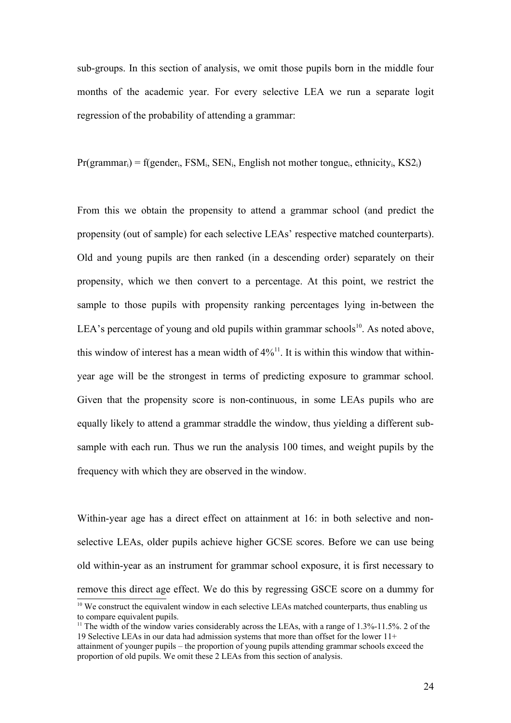sub-groups. In this section of analysis, we omit those pupils born in the middle four months of the academic year. For every selective LEA we run a separate logit regression of the probability of attending a grammar:

 $Pr(\text{grammar}_i) = f(\text{gender}_i, \text{FSM}_i, \text{SEN}_i, \text{English not mother tongue}_i, \text{ethnicity}_i, \text{KS2}_i)$ 

From this we obtain the propensity to attend a grammar school (and predict the propensity (out of sample) for each selective LEAs' respective matched counterparts). Old and young pupils are then ranked (in a descending order) separately on their propensity, which we then convert to a percentage. At this point, we restrict the sample to those pupils with propensity ranking percentages lying in-between the LEA's percentage of young and old pupils within grammar schools<sup>[10](#page-23-0)</sup>. As noted above, this window of interest has a mean width of  $4\frac{1}{1}$ . It is within this window that withinyear age will be the strongest in terms of predicting exposure to grammar school. Given that the propensity score is non-continuous, in some LEAs pupils who are equally likely to attend a grammar straddle the window, thus yielding a different subsample with each run. Thus we run the analysis 100 times, and weight pupils by the frequency with which they are observed in the window.

Within-year age has a direct effect on attainment at 16: in both selective and nonselective LEAs, older pupils achieve higher GCSE scores. Before we can use being old within-year as an instrument for grammar school exposure, it is first necessary to remove this direct age effect. We do this by regressing GSCE score on a dummy for

<span id="page-23-0"></span><sup>&</sup>lt;sup>10</sup> We construct the equivalent window in each selective LEAs matched counterparts, thus enabling us to compare equivalent pupils.

<span id="page-23-1"></span><sup>&</sup>lt;sup>11</sup> The width of the window varies considerably across the LEAs, with a range of 1.3%-11.5%. 2 of the 19 Selective LEAs in our data had admission systems that more than offset for the lower 11+

attainment of younger pupils – the proportion of young pupils attending grammar schools exceed the proportion of old pupils. We omit these 2 LEAs from this section of analysis.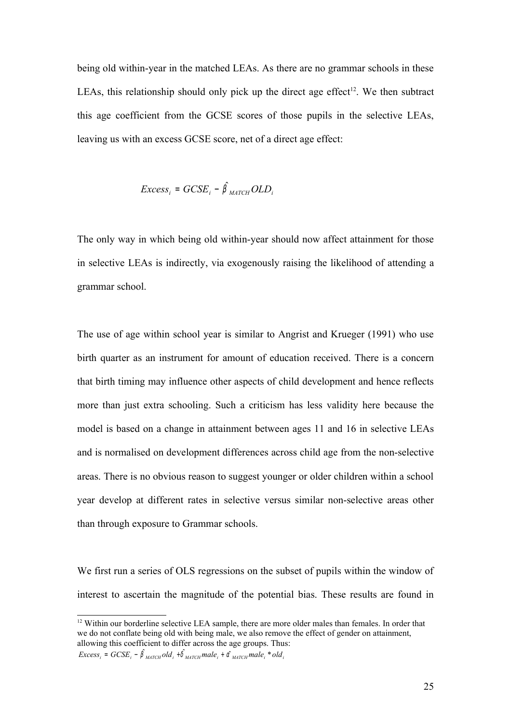being old within-year in the matched LEAs. As there are no grammar schools in these LEAs, this relationship should only pick up the direct age effect<sup>[12](#page-24-0)</sup>. We then subtract this age coefficient from the GCSE scores of those pupils in the selective LEAs, leaving us with an excess GCSE score, net of a direct age effect:

$$
Excess_i = GCSE_i - \hat{\beta}_{MATCH} OLD_i
$$

The only way in which being old within-year should now affect attainment for those in selective LEAs is indirectly, via exogenously raising the likelihood of attending a grammar school.

The use of age within school year is similar to Angrist and Krueger (1991) who use birth quarter as an instrument for amount of education received. There is a concern that birth timing may influence other aspects of child development and hence reflects more than just extra schooling. Such a criticism has less validity here because the model is based on a change in attainment between ages 11 and 16 in selective LEAs and is normalised on development differences across child age from the non-selective areas. There is no obvious reason to suggest younger or older children within a school year develop at different rates in selective versus similar non-selective areas other than through exposure to Grammar schools.

We first run a series of OLS regressions on the subset of pupils within the window of interest to ascertain the magnitude of the potential bias. These results are found in

<span id="page-24-0"></span><sup>&</sup>lt;sup>12</sup> Within our borderline selective LEA sample, there are more older males than females. In order that we do not conflate being old with being male, we also remove the effect of gender on attainment, allowing this coefficient to differ across the age groups. Thus:

 $Excess_i = GCSE_i - \hat{\beta}_{MATCH}$  *old*<sub>*i*</sub>  $+\hat{\delta}_{MATCH}$  *male*<sub>*i*</sub>  $+\hat{\alpha}_{MATCH}$  *male*<sub>*i*</sub>  $*$  *old*<sub>*i*</sub>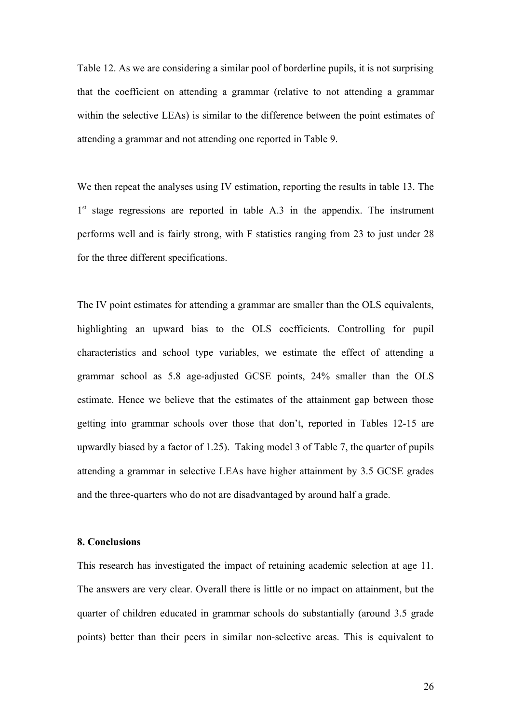Table 12. As we are considering a similar pool of borderline pupils, it is not surprising that the coefficient on attending a grammar (relative to not attending a grammar within the selective LEAs) is similar to the difference between the point estimates of attending a grammar and not attending one reported in Table 9.

We then repeat the analyses using IV estimation, reporting the results in table 13. The 1<sup>st</sup> stage regressions are reported in table A.3 in the appendix. The instrument performs well and is fairly strong, with F statistics ranging from 23 to just under 28 for the three different specifications.

The IV point estimates for attending a grammar are smaller than the OLS equivalents, highlighting an upward bias to the OLS coefficients. Controlling for pupil characteristics and school type variables, we estimate the effect of attending a grammar school as 5.8 age-adjusted GCSE points, 24% smaller than the OLS estimate. Hence we believe that the estimates of the attainment gap between those getting into grammar schools over those that don't, reported in Tables 12-15 are upwardly biased by a factor of 1.25). Taking model 3 of Table 7, the quarter of pupils attending a grammar in selective LEAs have higher attainment by 3.5 GCSE grades and the three-quarters who do not are disadvantaged by around half a grade.

#### **8. Conclusions**

This research has investigated the impact of retaining academic selection at age 11. The answers are very clear. Overall there is little or no impact on attainment, but the quarter of children educated in grammar schools do substantially (around 3.5 grade points) better than their peers in similar non-selective areas. This is equivalent to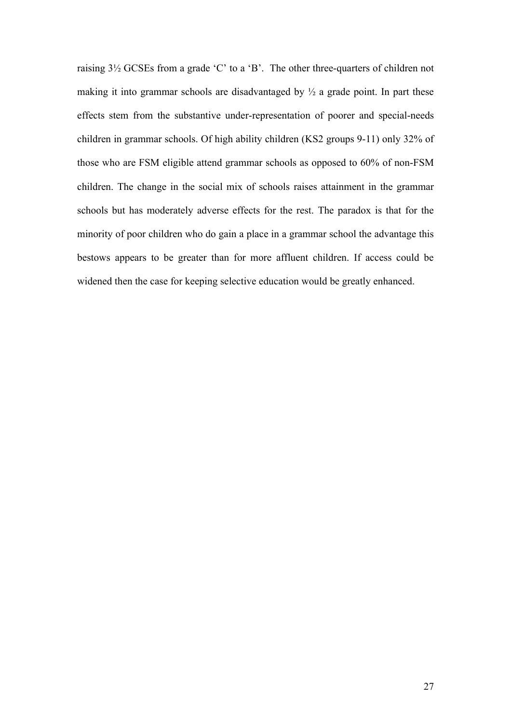raising 3½ GCSEs from a grade 'C' to a 'B'. The other three-quarters of children not making it into grammar schools are disadvantaged by  $\frac{1}{2}$  a grade point. In part these effects stem from the substantive under-representation of poorer and special-needs children in grammar schools. Of high ability children (KS2 groups 9-11) only 32% of those who are FSM eligible attend grammar schools as opposed to 60% of non-FSM children. The change in the social mix of schools raises attainment in the grammar schools but has moderately adverse effects for the rest. The paradox is that for the minority of poor children who do gain a place in a grammar school the advantage this bestows appears to be greater than for more affluent children. If access could be widened then the case for keeping selective education would be greatly enhanced.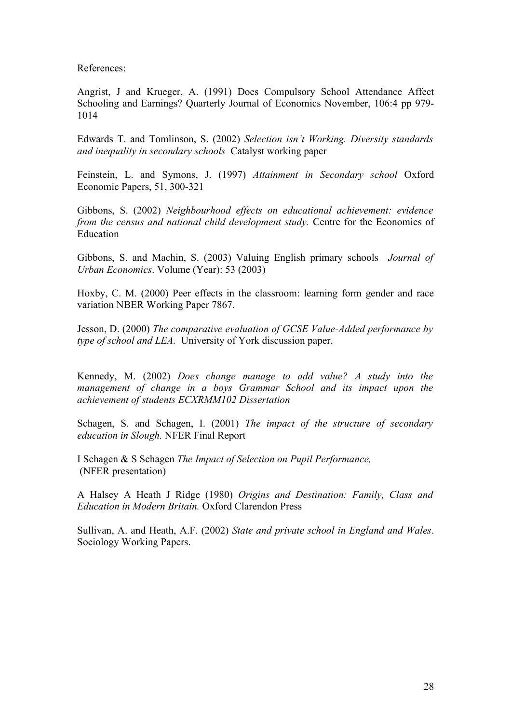References:

Angrist, J and Krueger, A. (1991) Does Compulsory School Attendance Affect Schooling and Earnings? Quarterly Journal of Economics November, 106:4 pp 979- 1014

Edwards T. and Tomlinson, S. (2002) *Selection isn't Working. Diversity standards and inequality in secondary schools* Catalyst working paper

Feinstein, L. and Symons, J. (1997) *Attainment in Secondary school* Oxford Economic Papers, 51, 300-321

Gibbons, S. (2002) *Neighbourhood effects on educational achievement: evidence from the census and national child development study.* Centre for the Economics of Education

Gibbons, S. and Machin, S. (2003) Valuing English primary schools *Journal of Urban Economics*. Volume (Year): 53 (2003)

Hoxby, C. M. (2000) Peer effects in the classroom: learning form gender and race variation NBER Working Paper 7867.

Jesson, D. (2000) *The comparative evaluation of GCSE Value-Added performance by type of school and LEA.* University of York discussion paper.

Kennedy, M. (2002) *Does change manage to add value? A study into the management of change in a boys Grammar School and its impact upon the achievement of students ECXRMM102 Dissertation*

Schagen, S. and Schagen, I. (2001) *The impact of the structure of secondary education in Slough.* NFER Final Report

I Schagen & S Schagen *The Impact of Selection on Pupil Performance,*  (NFER presentation)

A Halsey A Heath J Ridge (1980) *Origins and Destination: Family, Class and Education in Modern Britain.* Oxford Clarendon Press

Sullivan, A. and Heath, A.F. (2002) *State and private school in England and Wales*. Sociology Working Papers.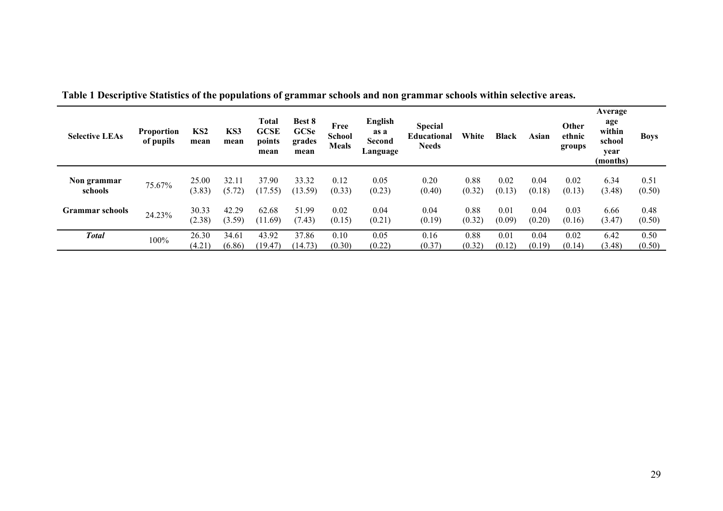| <b>Selective LEAs</b>  | <b>Proportion</b><br>of pupils | KS <sub>2</sub><br>mean | KS3<br>mean     | Total<br><b>GCSE</b><br>points<br>mean | Best 8<br>GCSe<br>grades<br>mean | Free<br><b>School</b><br><b>Meals</b> | <b>English</b><br>as a<br><b>Second</b><br>Language | <b>Special</b><br><b>Educational</b><br><b>Needs</b> | White          | <b>Black</b>   | Asian          | Other<br>ethnic<br>groups | Average<br>age<br>within<br>school<br>year<br>(months) | <b>Boys</b>    |
|------------------------|--------------------------------|-------------------------|-----------------|----------------------------------------|----------------------------------|---------------------------------------|-----------------------------------------------------|------------------------------------------------------|----------------|----------------|----------------|---------------------------|--------------------------------------------------------|----------------|
| Non grammar<br>schools | 75.67%                         | 25.00<br>(3.83)         | 32.11<br>(5.72) | 37.90<br>(17.55)                       | 33.32<br>(13.59)                 | 0.12<br>(0.33)                        | 0.05<br>(0.23)                                      | 0.20<br>(0.40)                                       | 0.88<br>(0.32) | 0.02<br>(0.13) | 0.04<br>(0.18) | 0.02<br>(0.13)            | 6.34<br>(3.48)                                         | 0.51<br>(0.50) |
| <b>Grammar</b> schools | 24.23%                         | 30.33<br>(2.38)         | 42.29<br>(3.59) | 62.68<br>(11.69)                       | 51.99<br>(7.43)                  | 0.02<br>(0.15)                        | 0.04<br>(0.21)                                      | 0.04<br>(0.19)                                       | 0.88<br>(0.32) | 0.01<br>(0.09) | 0.04<br>(0.20) | 0.03<br>(0.16)            | 6.66<br>(3.47)                                         | 0.48<br>(0.50) |
| Total                  | 100%                           | 26.30<br>(4.21)         | 34.61<br>(6.86) | 43.92<br>(19.47)                       | 37.86<br>(14.73)                 | 0.10<br>(0.30)                        | 0.05<br>(0.22)                                      | 0.16<br>(0.37)                                       | 0.88<br>(0.32) | 0.01<br>(0.12) | 0.04<br>(0.19) | 0.02<br>(0.14)            | 6.42<br>(3.48)                                         | 0.50<br>(0.50) |

**Table 1 Descriptive Statistics of the populations of grammar schools and non grammar schools within selective areas.**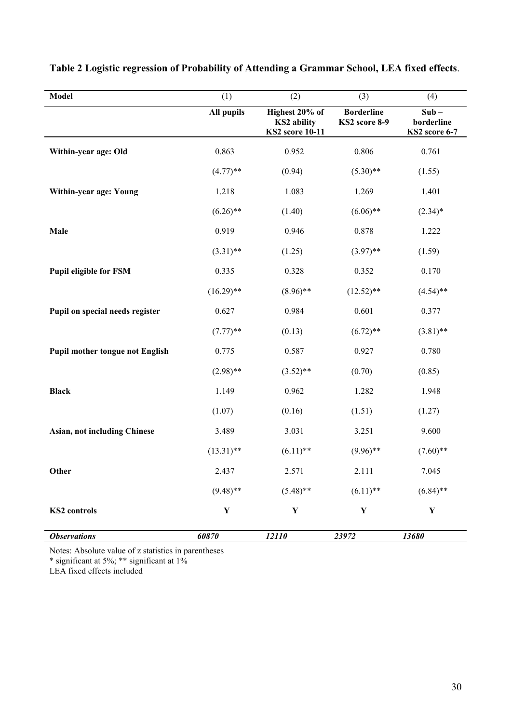| Model                                  | (1)          | (2)                                                            | (3)                                | (4)                                    |
|----------------------------------------|--------------|----------------------------------------------------------------|------------------------------------|----------------------------------------|
|                                        | All pupils   | Highest 20% of<br><b>KS2</b> ability<br><b>KS2</b> score 10-11 | <b>Borderline</b><br>KS2 score 8-9 | $Sub -$<br>borderline<br>KS2 score 6-7 |
| Within-year age: Old                   | 0.863        | 0.952                                                          | 0.806                              | 0.761                                  |
|                                        | $(4.77)$ **  | (0.94)                                                         | $(5.30)$ **                        | (1.55)                                 |
| Within-year age: Young                 | 1.218        | 1.083                                                          | 1.269                              | 1.401                                  |
|                                        | $(6.26)$ **  | (1.40)                                                         | $(6.06)$ **                        | $(2.34)$ *                             |
| Male                                   | 0.919        | 0.946                                                          | 0.878                              | 1.222                                  |
|                                        | $(3.31)$ **  | (1.25)                                                         | $(3.97)$ **                        | (1.59)                                 |
| <b>Pupil eligible for FSM</b>          | 0.335        | 0.328                                                          | 0.352                              | 0.170                                  |
|                                        | $(16.29)$ ** | $(8.96)$ **                                                    | $(12.52)$ **                       | $(4.54)$ **                            |
| Pupil on special needs register        | 0.627        | 0.984                                                          | 0.601                              | 0.377                                  |
|                                        | $(7.77)$ **  | (0.13)                                                         | $(6.72)$ **                        | $(3.81)$ **                            |
| <b>Pupil mother tongue not English</b> | 0.775        | 0.587                                                          | 0.927                              | 0.780                                  |
|                                        | $(2.98)$ **  | $(3.52)$ **                                                    | (0.70)                             | (0.85)                                 |
| <b>Black</b>                           | 1.149        | 0.962                                                          | 1.282                              | 1.948                                  |
|                                        | (1.07)       | (0.16)                                                         | (1.51)                             | (1.27)                                 |
| <b>Asian, not including Chinese</b>    | 3.489        | 3.031                                                          | 3.251                              | 9.600                                  |
|                                        | $(13.31)$ ** | $(6.11)$ **                                                    | $(9.96)$ **                        | $(7.60)$ **                            |
| Other                                  | 2.437        | 2.571                                                          | 2.111                              | 7.045                                  |
|                                        | $(9.48)$ **  | $(5.48)$ **                                                    | $(6.11)$ **                        | $(6.84)$ **                            |
| <b>KS2</b> controls                    | $\mathbf Y$  | $\mathbf Y$                                                    | $\mathbf Y$                        | $\mathbf Y$                            |
| <b>Observations</b>                    | 60870        | 12110                                                          | 23972                              | 13680                                  |

**Table 2 Logistic regression of Probability of Attending a Grammar School, LEA fixed effects**.

Notes: Absolute value of z statistics in parentheses

\* significant at 5%; \*\* significant at 1%

LEA fixed effects included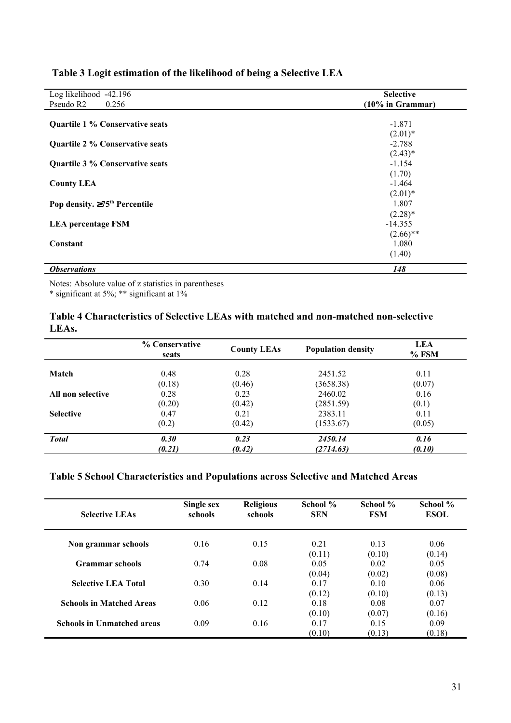| Log likelihood -42.196                        | <b>Selective</b>    |
|-----------------------------------------------|---------------------|
| Pseudo R <sub>2</sub><br>0.256                | $(10\%$ in Grammar) |
| <b>Quartile 1 % Conservative seats</b>        | $-1.871$            |
|                                               | $(2.01)^*$          |
| <b>Quartile 2 % Conservative seats</b>        | $-2.788$            |
|                                               | $(2.43)*$           |
| Quartile 3 % Conservative seats               | $-1.154$            |
|                                               | (1.70)              |
| <b>County LEA</b>                             | $-1.464$            |
|                                               | $(2.01)^*$          |
| Pop density. $\geq 75^{\text{th}}$ Percentile | 1.807               |
|                                               | $(2.28)$ *          |
| <b>LEA</b> percentage FSM                     | $-14.355$           |
|                                               | $(2.66)$ **         |
| Constant                                      | 1.080               |
|                                               | (1.40)              |
| <b>Observations</b>                           | 148                 |

# **Table 3 Logit estimation of the likelihood of being a Selective LEA**

Notes: Absolute value of z statistics in parentheses

\* significant at 5%; \*\* significant at 1%

# **Table 4 Characteristics of Selective LEAs with matched and non-matched non-selective LEAs.**

|                   | % Conservative<br>seats | <b>County LEAs</b> | <b>Population density</b> | <b>LEA</b><br>$%$ FSM |
|-------------------|-------------------------|--------------------|---------------------------|-----------------------|
| Match             | 0.48                    | 0.28               | 2451.52                   | 0.11                  |
|                   | (0.18)                  | (0.46)             | (3658.38)                 | (0.07)                |
| All non selective | 0.28                    | 0.23               | 2460.02                   | 0.16                  |
|                   | (0.20)                  | (0.42)             | (2851.59)                 | (0.1)                 |
| <b>Selective</b>  | 0.47                    | 0.21               | 2383.11                   | 0.11                  |
|                   | (0.2)                   | (0.42)             | (1533.67)                 | (0.05)                |
| <b>Total</b>      | 0.30                    | 0.23               | 2450.14                   | 0.16                  |
|                   | (0.21)                  | (0.42)             | (2714.63)                 | (0.10)                |

# **Table 5 School Characteristics and Populations across Selective and Matched Areas**

| <b>Selective LEAs</b>             | Single sex<br>schools | <b>Religious</b><br>schools | School %<br><b>SEN</b>   | School %<br><b>FSM</b>   | School %<br><b>ESOL</b>  |
|-----------------------------------|-----------------------|-----------------------------|--------------------------|--------------------------|--------------------------|
| Non grammar schools               | 0.16                  | 0.15                        | 0.21                     | 0.13                     | 0.06                     |
| <b>Grammar</b> schools            | 0.74                  | 0.08                        | (0.11)<br>0.05           | (0.10)<br>0.02           | (0.14)<br>0.05           |
| <b>Selective LEA Total</b>        | 0.30                  | 0.14                        | (0.04)<br>0.17           | (0.02)<br>0.10           | (0.08)<br>0.06           |
| <b>Schools in Matched Areas</b>   | 0.06                  | 0.12                        | (0.12)<br>0.18           | (0.10)<br>0.08           | (0.13)<br>0.07           |
| <b>Schools in Unmatched areas</b> | 0.09                  | 0.16                        | (0.10)<br>0.17<br>(0.10) | (0.07)<br>0.15<br>(0.13) | (0.16)<br>0.09<br>(0.18) |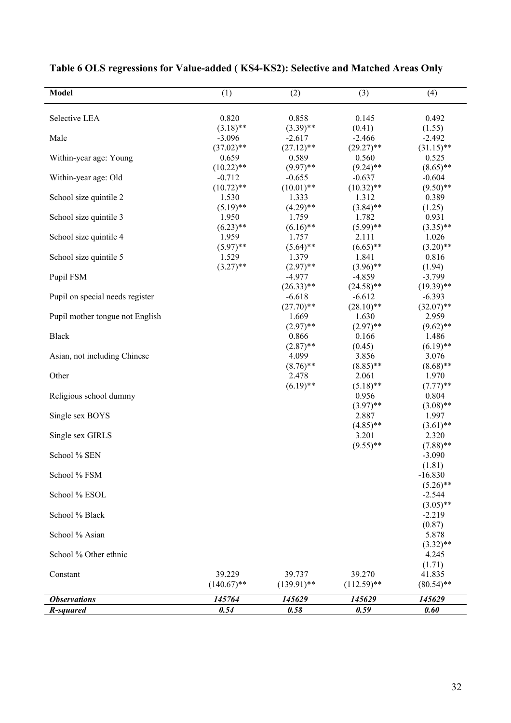| <b>Model</b>                    | (1)                  | (2)                  | (3)                  | (4)                     |
|---------------------------------|----------------------|----------------------|----------------------|-------------------------|
|                                 |                      |                      |                      |                         |
| Selective LEA                   | 0.820<br>$(3.18)$ ** | 0.858<br>$(3.39)$ ** | 0.145<br>(0.41)      | 0.492                   |
| Male                            | $-3.096$             | $-2.617$             | $-2.466$             | (1.55)<br>$-2.492$      |
|                                 | $(37.02)$ **         | $(27.12)$ **         | $(29.27)$ **         | $(31.15)$ **            |
| Within-year age: Young          | 0.659                | 0.589                | 0.560                | 0.525                   |
|                                 | $(10.22)$ **         | $(9.97)$ **          | $(9.24)$ **          | $(8.65)$ **             |
| Within-year age: Old            | $-0.712$             | $-0.655$             | $-0.637$             | $-0.604$                |
|                                 | $(10.72)$ **         | $(10.01)$ **         | $(10.32)$ **         | $(9.50)$ **             |
| School size quintile 2          | 1.530                | 1.333                | 1.312                | 0.389                   |
|                                 | $(5.19)$ **          | $(4.29)$ **          | $(3.84)$ **          | (1.25)                  |
| School size quintile 3          | 1.950                | 1.759                | 1.782                | 0.931                   |
|                                 | $(6.23)$ **          | $(6.16)$ **          | $(5.99)$ **          | $(3.35)$ **             |
| School size quintile 4          | 1.959                | 1.757                | 2.111                | 1.026                   |
|                                 | $(5.97)$ **          | $(5.64)$ **          | $(6.65)$ **          | $(3.20)$ **             |
| School size quintile 5          | 1.529                | 1.379                | 1.841                | 0.816                   |
|                                 | $(3.27)$ **          | $(2.97)$ **          | $(3.96)$ **          | (1.94)                  |
| Pupil FSM                       |                      | $-4.977$             | $-4.859$             | $-3.799$                |
|                                 |                      | $(26.33)$ **         | $(24.58)$ **         | $(19.39)$ **            |
| Pupil on special needs register |                      | $-6.618$             | $-6.612$             | $-6.393$                |
|                                 |                      | $(27.70)$ **         | $(28.10)$ **         | $(32.07)$ **            |
| Pupil mother tongue not English |                      | 1.669                | 1.630                | 2.959                   |
|                                 |                      | $(2.97)$ **          | $(2.97)$ **          | $(9.62)$ **             |
| <b>Black</b>                    |                      | 0.866                | 0.166                | 1.486                   |
|                                 |                      | $(2.87)$ **          | (0.45)               | $(6.19)$ **             |
| Asian, not including Chinese    |                      | 4.099                | 3.856                | 3.076                   |
|                                 |                      | $(8.76)$ **          | $(8.85)$ **          | $(8.68)$ **             |
| Other                           |                      | 2.478                | 2.061                | 1.970                   |
|                                 |                      | $(6.19)$ **          | $(5.18)$ **          | $(7.77)$ **             |
| Religious school dummy          |                      |                      | 0.956                | 0.804                   |
|                                 |                      |                      | $(3.97)$ **          | $(3.08)$ **             |
| Single sex BOYS                 |                      |                      | 2.887                | 1.997                   |
|                                 |                      |                      | $(4.85)$ **<br>3.201 | $(3.61)$ **             |
| Single sex GIRLS                |                      |                      | $(9.55)$ **          | 2.320                   |
| School % SEN                    |                      |                      |                      | $(7.88)$ **<br>$-3.090$ |
|                                 |                      |                      |                      | (1.81)                  |
| School % FSM                    |                      |                      |                      | $-16.830$               |
|                                 |                      |                      |                      | $(5.26)$ **             |
| School % ESOL                   |                      |                      |                      | $-2.544$                |
|                                 |                      |                      |                      | $(3.05)$ **             |
| School % Black                  |                      |                      |                      | $-2.219$                |
|                                 |                      |                      |                      | (0.87)                  |
| School % Asian                  |                      |                      |                      | 5.878                   |
|                                 |                      |                      |                      | $(3.32)$ **             |
| School % Other ethnic           |                      |                      |                      | 4.245                   |
|                                 |                      |                      |                      | (1.71)                  |
| Constant                        | 39.229               | 39.737               | 39.270               | 41.835                  |
|                                 | $(140.67)$ **        | $(139.91)$ **        | $(112.59)$ **        | $(80.54)$ **            |
| <b>Observations</b>             | 145764               | 145629               | 145629               | 145629                  |
| R-squared                       | 0.54                 | 0.58                 | 0.59                 | 0.60                    |

**Table 6 OLS regressions for Value-added ( KS4-KS2): Selective and Matched Areas Only**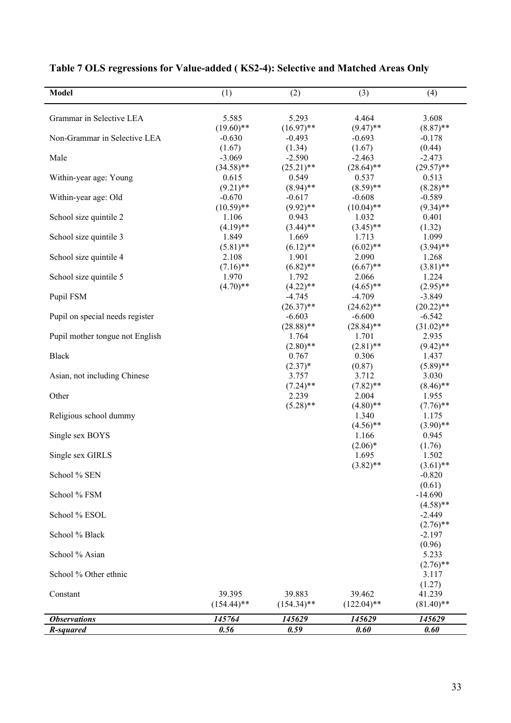| <b>Model</b>                    | (1)                      | (2)                      | (3)                     | (4)                     |
|---------------------------------|--------------------------|--------------------------|-------------------------|-------------------------|
| Grammar in Selective LEA        | 5.585                    | 5.293                    | 4.464                   | 3.608                   |
| Non-Grammar in Selective LEA    | $(19.60)$ **<br>$-0.630$ | $(16.97)$ **<br>$-0.493$ | $(9.47)$ **<br>$-0.693$ | $(8.87)$ **<br>$-0.178$ |
|                                 | (1.67)                   | (1.34)                   | (1.67)                  | (0.44)                  |
| Male                            | $-3.069$                 | $-2.590$                 | $-2.463$                | $-2.473$                |
| Within-year age: Young          | $(34.58)$ **<br>0.615    | $(25.21)$ **<br>0.549    | $(28.64)$ **<br>0.537   | $(29.57)$ **<br>0.513   |
|                                 | $(9.21)$ **              | $(8.94)$ **              | $(8.59)$ **             | $(8.28)$ **             |
| Within-year age: Old            | $-0.670$                 | $-0.617$                 | $-0.608$                | $-0.589$                |
|                                 | $(10.59)$ **             | $(9.92)$ **              | $(10.04)$ **            | $(9.34)$ **             |
| School size quintile 2          | 1.106                    | 0.943                    | 1.032                   | 0.401                   |
|                                 | $(4.19)$ **              | $(3.44)$ **              | $(3.45)$ **             | (1.32)                  |
| School size quintile 3          | 1.849                    | 1.669                    | 1.713                   | 1.099                   |
|                                 | $(5.81)$ **              | $(6.12)$ **              | $(6.02)$ **             | $(3.94)$ **             |
| School size quintile 4          | 2.108                    | 1.901                    | 2.090                   | 1.268                   |
|                                 | $(7.16)$ **              | $(6.82)$ **              | $(6.67)$ **             | $(3.81)$ **             |
| School size quintile 5          | 1.970<br>$(4.70)$ **     | 1.792                    | 2.066                   | 1.224                   |
| Pupil FSM                       |                          | $(4.22)$ **<br>$-4.745$  | $(4.65)$ **<br>$-4.709$ | $(2.95)$ **<br>$-3.849$ |
|                                 |                          | $(26.37)$ **             | $(24.62)$ **            | $(20.22)$ **            |
| Pupil on special needs register |                          | $-6.603$                 | $-6.600$                | $-6.542$                |
|                                 |                          | $(28.88)$ **             | $(28.84)$ **            | $(31.02)$ **            |
| Pupil mother tongue not English |                          | 1.764                    | 1.701                   | 2.935                   |
|                                 |                          | $(2.80)$ **              | $(2.81)$ **             | $(9.42)$ **             |
| <b>Black</b>                    |                          | 0.767                    | 0.306                   | 1.437                   |
|                                 |                          | $(2.37)^*$               | (0.87)                  | $(5.89)$ **             |
| Asian, not including Chinese    |                          | 3.757                    | 3.712                   | 3.030                   |
|                                 |                          | $(7.24)$ **<br>2.239     | $(7.82)$ **             | $(8.46)$ **             |
| Other                           |                          | $(5.28)$ **              | 2.004<br>$(4.80)$ **    | 1.955<br>$(7.76)$ **    |
| Religious school dummy          |                          |                          | 1.340                   | 1.175                   |
|                                 |                          |                          | $(4.56)$ **             | $(3.90)$ **             |
| Single sex BOYS                 |                          |                          | 1.166                   | 0.945                   |
|                                 |                          |                          | $(2.06)*$               | (1.76)                  |
| Single sex GIRLS                |                          |                          | 1.695                   | 1.502                   |
|                                 |                          |                          | $(3.82)$ **             | $(3.61)$ **             |
| School % SEN                    |                          |                          |                         | $-0.820$                |
| School % FSM                    |                          |                          |                         | (0.61)<br>$-14.690$     |
|                                 |                          |                          |                         | $(4.58)$ **             |
| School % ESOL                   |                          |                          |                         | $-2.449$                |
|                                 |                          |                          |                         | $(2.76)$ **             |
| School % Black                  |                          |                          |                         | $-2.197$                |
|                                 |                          |                          |                         | (0.96)                  |
| School % Asian                  |                          |                          |                         | 5.233                   |
|                                 |                          |                          |                         | $(2.76)$ **             |
| School % Other ethnic           |                          |                          |                         | 3.117                   |
| Constant                        | 39.395                   | 39.883                   | 39.462                  | (1.27)<br>41.239        |
|                                 | $(154.44)$ **            | $(154.34)$ **            | $(122.04)$ **           | $(81.40)$ **            |
|                                 |                          |                          |                         |                         |
| <b>Observations</b>             | 145764                   | 145629                   | 145629                  | 145629                  |
| R-squared                       | 0.56                     | 0.59                     | 0.60                    | 0.60                    |

# **Table 7 OLS regressions for Value-added ( KS2-4): Selective and Matched Areas Only**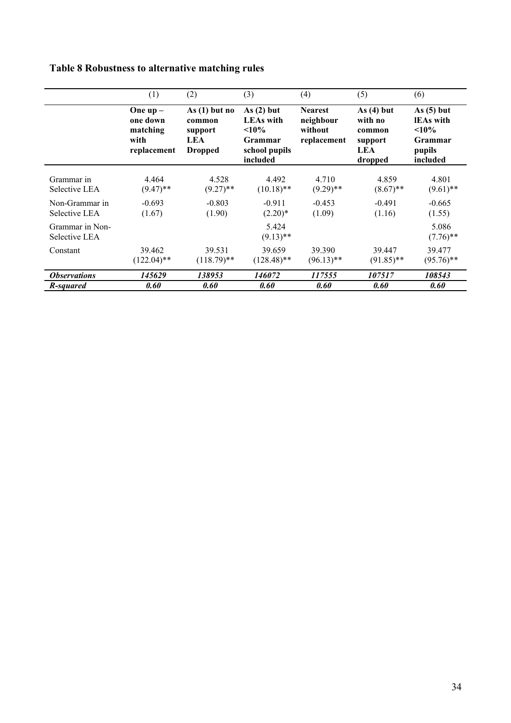# **Table 8 Robustness to alternative matching rules**

|                                  | (1)                                                      | (2)                                                                  | (3)                                                                                    | (4)                                                   | (5)                                                            | (6)                                                                              |
|----------------------------------|----------------------------------------------------------|----------------------------------------------------------------------|----------------------------------------------------------------------------------------|-------------------------------------------------------|----------------------------------------------------------------|----------------------------------------------------------------------------------|
|                                  | One $up-$<br>one down<br>matching<br>with<br>replacement | As $(1)$ but no<br>common<br>support<br><b>LEA</b><br><b>Dropped</b> | As(2) but<br><b>LEAs</b> with<br>$10\%$<br><b>Grammar</b><br>school pupils<br>included | <b>Nearest</b><br>neighbour<br>without<br>replacement | As $(4)$ but<br>with no<br>common<br>support<br>LEA<br>dropped | As $(5)$ but<br><b>IEAs</b> with<br><10%<br><b>Grammar</b><br>pupils<br>included |
| Grammar in<br>Selective LEA      | 4.464<br>$(9.47)$ **                                     | 4.528<br>$(9.27)$ **                                                 | 4.492<br>$(10.18)$ **                                                                  | 4.710<br>$(9.29)$ **                                  | 4.859<br>$(8.67)$ **                                           | 4.801<br>$(9.61)$ **                                                             |
| Non-Grammar in<br>Selective LEA  | $-0.693$<br>(1.67)                                       | $-0.803$<br>(1.90)                                                   | $-0.911$<br>$(2.20)*$                                                                  | $-0.453$<br>(1.09)                                    | $-0.491$<br>(1.16)                                             | $-0.665$<br>(1.55)                                                               |
| Grammar in Non-<br>Selective LEA |                                                          |                                                                      | 5.424<br>$(9.13)$ **                                                                   |                                                       |                                                                | 5.086<br>$(7.76)$ **                                                             |
| Constant                         | 39.462<br>$(122.04)$ **                                  | 39.531<br>$(118.79)$ **                                              | 39.659<br>$(128.48)$ **                                                                | 39.390<br>$(96.13)$ **                                | 39.447<br>$(91.85)$ **                                         | 39.477<br>$(95.76)$ **                                                           |
| <i><b>Observations</b></i>       | 145629                                                   | 138953                                                               | 146072                                                                                 | 117555                                                | <i><b>107517</b></i>                                           | 108543                                                                           |
| R-squared                        | 0.60                                                     | 0.60                                                                 | 0.60                                                                                   | 0.60                                                  | 0.60                                                           | 0.60                                                                             |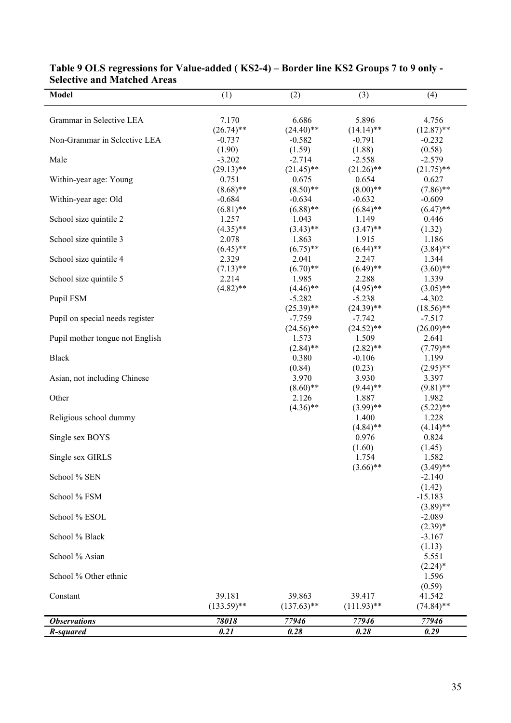| <b>Model</b>                    | (1)                | (2)                     | (3)                     | (4)                     |
|---------------------------------|--------------------|-------------------------|-------------------------|-------------------------|
| Grammar in Selective LEA        | 7.170              | 6.686                   | 5.896                   | 4.756                   |
|                                 | $(26.74)$ **       | $(24.40)$ **            | $(14.14)$ **            | $(12.87)$ **            |
| Non-Grammar in Selective LEA    | $-0.737$           | $-0.582$                | $-0.791$                | $-0.232$                |
| Male                            | (1.90)<br>$-3.202$ | (1.59)<br>$-2.714$      | (1.88)<br>$-2.558$      | (0.58)<br>$-2.579$      |
|                                 | $(29.13)$ **       | $(21.45)$ **            | $(21.26)$ **            | $(21.75)$ **            |
| Within-year age: Young          | 0.751              | 0.675                   | 0.654                   | 0.627                   |
|                                 | $(8.68)$ **        | $(8.50)$ **             | $(8.00)$ **             | $(7.86)$ **             |
| Within-year age: Old            | $-0.684$           | $-0.634$                | $-0.632$                | $-0.609$                |
|                                 | $(6.81)$ **        | $(6.88)$ **             | $(6.84)$ **             | $(6.47)$ **             |
| School size quintile 2          | 1.257              | 1.043                   | 1.149                   | 0.446                   |
|                                 | $(4.35)$ **        | $(3.43)$ **             | $(3.47)$ **             | (1.32)                  |
| School size quintile 3          | 2.078              | 1.863                   | 1.915                   | 1.186                   |
|                                 | $(6.45)$ **        | $(6.75)$ **             | $(6.44)$ **             | $(3.84)$ **             |
| School size quintile 4          | 2.329              | 2.041                   | 2.247                   | 1.344                   |
|                                 | $(7.13)$ **        | $(6.70)$ **             | $(6.49)$ **             | $(3.60)$ **             |
| School size quintile 5          | 2.214              | 1.985                   | 2.288                   | 1.339                   |
| Pupil FSM                       | $(4.82)$ **        | $(4.46)$ **<br>$-5.282$ | $(4.95)$ **<br>$-5.238$ | $(3.05)$ **<br>$-4.302$ |
|                                 |                    | $(25.39)$ **            | $(24.39)$ **            | $(18.56)$ **            |
| Pupil on special needs register |                    | $-7.759$                | $-7.742$                | $-7.517$                |
|                                 |                    | $(24.56)$ **            | $(24.52)$ **            | $(26.09)$ **            |
| Pupil mother tongue not English |                    | 1.573                   | 1.509                   | 2.641                   |
|                                 |                    | $(2.84)$ **             | $(2.82)$ **             | $(7.79)$ **             |
| <b>Black</b>                    |                    | 0.380                   | $-0.106$                | 1.199                   |
|                                 |                    | (0.84)                  | (0.23)                  | $(2.95)$ **             |
| Asian, not including Chinese    |                    | 3.970                   | 3.930                   | 3.397                   |
|                                 |                    | $(8.60)$ **             | $(9.44)$ **             | $(9.81)$ **             |
| Other                           |                    | 2.126                   | 1.887                   | 1.982                   |
|                                 |                    | $(4.36)$ **             | $(3.99)$ **             | $(5.22)$ **             |
| Religious school dummy          |                    |                         | 1.400                   | 1.228                   |
|                                 |                    |                         | $(4.84)$ **             | $(4.14)$ **             |
| Single sex BOYS                 |                    |                         | 0.976                   | 0.824                   |
| Single sex GIRLS                |                    |                         | (1.60)<br>1.754         | (1.45)<br>1.582         |
|                                 |                    |                         | $(3.66)$ **             | $(3.49)$ **             |
| School % SEN                    |                    |                         |                         | $-2.140$                |
|                                 |                    |                         |                         | (1.42)                  |
| School % FSM                    |                    |                         |                         | $-15.183$               |
|                                 |                    |                         |                         | $(3.89)$ **             |
| School % ESOL                   |                    |                         |                         | $-2.089$                |
|                                 |                    |                         |                         | $(2.39)*$               |
| School % Black                  |                    |                         |                         | $-3.167$                |
|                                 |                    |                         |                         | (1.13)                  |
| School % Asian                  |                    |                         |                         | 5.551                   |
|                                 |                    |                         |                         | $(2.24)$ *              |
| School % Other ethnic           |                    |                         |                         | 1.596                   |
| Constant                        | 39.181             | 39.863                  | 39.417                  | (0.59)<br>41.542        |
|                                 | $(133.59)$ **      | $(137.63)$ **           | $(111.93)$ **           | $(74.84)$ **            |
|                                 |                    |                         |                         |                         |
| <b>Observations</b>             | 78018              | 77946                   | 77946                   | 77946                   |
| R-squared                       | 0.21               | 0.28                    | 0.28                    | 0.29                    |

## **Table 9 OLS regressions for Value-added ( KS2-4) – Border line KS2 Groups 7 to 9 only - Selective and Matched Areas**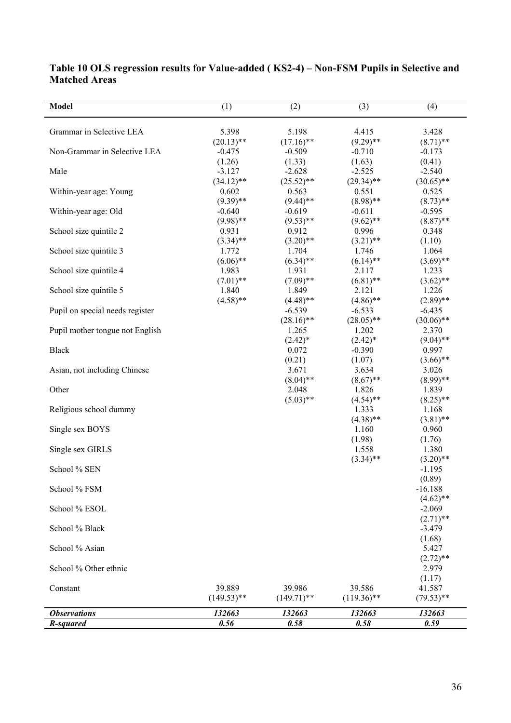| Model                           | (1)           | (2)           | (3)           | (4)          |
|---------------------------------|---------------|---------------|---------------|--------------|
| Grammar in Selective LEA        | 5.398         | 5.198         | 4.415         | 3.428        |
|                                 | $(20.13)$ **  | $(17.16)$ **  | $(9.29)$ **   | $(8.71)$ **  |
| Non-Grammar in Selective LEA    | $-0.475$      | $-0.509$      | $-0.710$      | $-0.173$     |
|                                 | (1.26)        | (1.33)        | (1.63)        | (0.41)       |
| Male                            | $-3.127$      | $-2.628$      | $-2.525$      | $-2.540$     |
|                                 | $(34.12)$ **  | $(25.52)$ **  | $(29.34)$ **  | $(30.65)$ ** |
| Within-year age: Young          | 0.602         | 0.563         | 0.551         | 0.525        |
|                                 | $(9.39)$ **   | $(9.44)$ **   | $(8.98)$ **   | $(8.73)$ **  |
| Within-year age: Old            | $-0.640$      | $-0.619$      | $-0.611$      | $-0.595$     |
|                                 | $(9.98)$ **   | $(9.53)$ **   | $(9.62)$ **   | $(8.87)$ **  |
| School size quintile 2          | 0.931         | 0.912         | 0.996         | 0.348        |
|                                 | $(3.34)$ **   | $(3.20)$ **   | $(3.21)$ **   | (1.10)       |
| School size quintile 3          | 1.772         | 1.704         | 1.746         | 1.064        |
|                                 | $(6.06)$ **   | $(6.34)$ **   | $(6.14)$ **   | $(3.69)$ **  |
| School size quintile 4          | 1.983         | 1.931         | 2.117         | 1.233        |
|                                 | $(7.01)$ **   | $(7.09)$ **   | $(6.81)$ **   | $(3.62)$ **  |
| School size quintile 5          | 1.840         | 1.849         | 2.121         | 1.226        |
|                                 | $(4.58)$ **   | $(4.48)$ **   | $(4.86)$ **   | $(2.89)$ **  |
| Pupil on special needs register |               | $-6.539$      | $-6.533$      | $-6.435$     |
|                                 |               | $(28.16)$ **  | $(28.05)$ **  | $(30.06)$ ** |
| Pupil mother tongue not English |               | 1.265         | 1.202         | 2.370        |
|                                 |               | $(2.42)^*$    | $(2.42)^*$    | $(9.04)$ **  |
| <b>Black</b>                    |               | 0.072         | $-0.390$      | 0.997        |
|                                 |               | (0.21)        | (1.07)        | $(3.66)$ **  |
| Asian, not including Chinese    |               | 3.671         | 3.634         | 3.026        |
|                                 |               | $(8.04)$ **   | $(8.67)$ **   | $(8.99)$ **  |
| Other                           |               | 2.048         | 1.826         | 1.839        |
|                                 |               | $(5.03)$ **   | $(4.54)$ **   | $(8.25)$ **  |
| Religious school dummy          |               |               | 1.333         | 1.168        |
|                                 |               |               | $(4.38)$ **   | $(3.81)$ **  |
| Single sex BOYS                 |               |               | 1.160         | 0.960        |
|                                 |               |               | (1.98)        | (1.76)       |
| Single sex GIRLS                |               |               | 1.558         | 1.380        |
|                                 |               |               | $(3.34)$ **   | $(3.20)$ **  |
| School % SEN                    |               |               |               | $-1.195$     |
|                                 |               |               |               | (0.89)       |
| School % FSM                    |               |               |               | $-16.188$    |
|                                 |               |               |               | $(4.62)$ **  |
| School % ESOL                   |               |               |               | $-2.069$     |
|                                 |               |               |               | $(2.71)$ **  |
| School % Black                  |               |               |               | $-3.479$     |
|                                 |               |               |               | (1.68)       |
| School % Asian                  |               |               |               | 5.427        |
|                                 |               |               |               | $(2.72)$ **  |
| School % Other ethnic           |               |               |               | 2.979        |
|                                 |               |               |               | (1.17)       |
| Constant                        | 39.889        | 39.986        | 39.586        | 41.587       |
|                                 | $(149.53)$ ** | $(149.71)$ ** | $(119.36)$ ** | $(79.53)$ ** |
| <b>Observations</b>             | 132663        | 132663        | 132663        | 132663       |
| R-squared                       | 0.56          | 0.58          | 0.58          | 0.59         |

# **Table 10 OLS regression results for Value-added ( KS2-4) – Non-FSM Pupils in Selective and Matched Areas**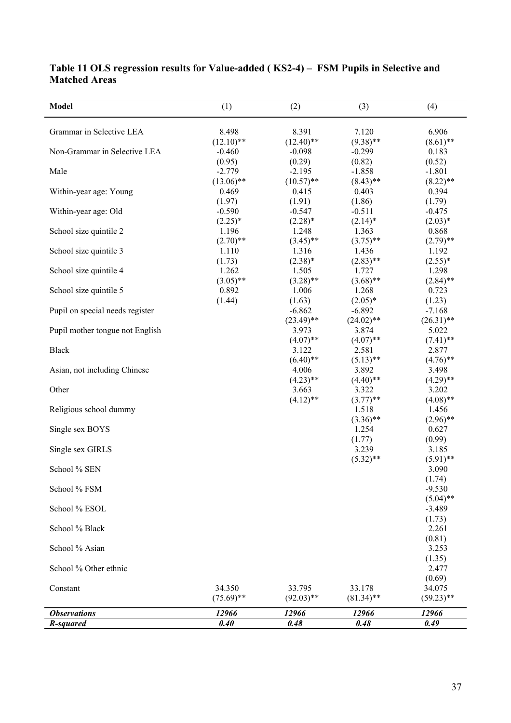| <b>Model</b>                    | (1)          | (2)                   | (3)                   | (4)                     |
|---------------------------------|--------------|-----------------------|-----------------------|-------------------------|
| Grammar in Selective LEA        | 8.498        | 8.391                 | 7.120                 | 6.906                   |
|                                 | $(12.10)$ ** | $(12.40)$ **          | $(9.38)$ **           | $(8.61)$ **             |
| Non-Grammar in Selective LEA    | $-0.460$     | $-0.098$              | $-0.299$              | 0.183                   |
|                                 | (0.95)       | (0.29)                | (0.82)                | (0.52)                  |
| Male                            | $-2.779$     | $-2.195$              | $-1.858$              | $-1.801$                |
|                                 | $(13.06)$ ** | $(10.57)$ **          | $(8.43)$ **           | $(8.22)$ **             |
| Within-year age: Young          | 0.469        | 0.415                 | 0.403                 | 0.394                   |
|                                 | (1.97)       | (1.91)                | (1.86)                | (1.79)                  |
| Within-year age: Old            | $-0.590$     | $-0.547$              | $-0.511$              | $-0.475$                |
|                                 | $(2.25)^*$   | $(2.28)*$             | $(2.14)^*$            | $(2.03)*$               |
| School size quintile 2          | 1.196        | 1.248                 | 1.363                 | 0.868                   |
|                                 | $(2.70)$ **  | $(3.45)$ **           | $(3.75)$ **           | $(2.79)$ **             |
| School size quintile 3          | 1.110        | 1.316                 | 1.436                 | 1.192                   |
|                                 | (1.73)       | $(2.38)*$             | $(2.83)$ **           | $(2.55)*$               |
| School size quintile 4          | 1.262        | 1.505                 | 1.727                 | 1.298                   |
|                                 | $(3.05)$ **  | $(3.28)$ **           | $(3.68)$ **           | $(2.84)$ **             |
| School size quintile 5          | 0.892        | 1.006                 | 1.268                 | 0.723                   |
|                                 | (1.44)       | (1.63)                | $(2.05)*$             | (1.23)                  |
| Pupil on special needs register |              | $-6.862$              | $-6.892$              | $-7.168$                |
| Pupil mother tongue not English |              | $(23.49)$ **<br>3.973 | $(24.02)$ **<br>3.874 | $(26.31)$ **<br>5.022   |
|                                 |              | $(4.07)$ **           | $(4.07)$ **           | $(7.41)$ **             |
| <b>Black</b>                    |              | 3.122                 | 2.581                 | 2.877                   |
|                                 |              | $(6.40)$ **           | $(5.13)$ **           | $(4.76)$ **             |
| Asian, not including Chinese    |              | 4.006                 | 3.892                 | 3.498                   |
|                                 |              | $(4.23)$ **           | $(4.40)$ **           | $(4.29)$ **             |
| Other                           |              | 3.663                 | 3.322                 | 3.202                   |
|                                 |              | $(4.12)$ **           | $(3.77)$ **           | $(4.08)$ **             |
| Religious school dummy          |              |                       | 1.518                 | 1.456                   |
|                                 |              |                       | $(3.36)$ **           | $(2.96)$ **             |
| Single sex BOYS                 |              |                       | 1.254                 | 0.627                   |
|                                 |              |                       | (1.77)                | (0.99)                  |
| Single sex GIRLS                |              |                       | 3.239                 | 3.185                   |
|                                 |              |                       | $(5.32)$ **           | $(5.91)$ **             |
| School % SEN                    |              |                       |                       | 3.090                   |
| School % FSM                    |              |                       |                       | (1.74)                  |
|                                 |              |                       |                       | $-9.530$<br>$(5.04)$ ** |
| School % ESOL                   |              |                       |                       | $-3.489$                |
|                                 |              |                       |                       | (1.73)                  |
| School % Black                  |              |                       |                       | 2.261                   |
|                                 |              |                       |                       | (0.81)                  |
| School % Asian                  |              |                       |                       | 3.253                   |
|                                 |              |                       |                       | (1.35)                  |
| School % Other ethnic           |              |                       |                       | 2.477                   |
|                                 |              |                       |                       | (0.69)                  |
| Constant                        | 34.350       | 33.795                | 33.178                | 34.075                  |
|                                 | $(75.69)$ ** | $(92.03)$ **          | $(81.34)$ **          | $(59.23)$ **            |
| <b>Observations</b>             | 12966        | 12966                 | 12966                 | 12966                   |
| R-squared                       | 0.40         | 0.48                  | 0.48                  | 0.49                    |

# **Table 11 OLS regression results for Value-added ( KS2-4) – FSM Pupils in Selective and Matched Areas**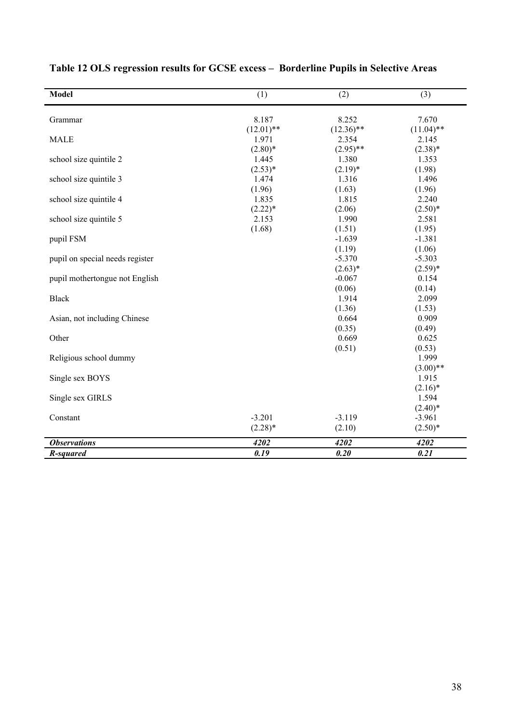| <b>Model</b>                    | (1)          | (2)          | (3)          |
|---------------------------------|--------------|--------------|--------------|
| Grammar                         | 8.187        | 8.252        | 7.670        |
|                                 | $(12.01)$ ** | $(12.36)$ ** | $(11.04)$ ** |
| <b>MALE</b>                     | 1.971        | 2.354        | 2.145        |
|                                 | $(2.80)*$    | $(2.95)$ **  | $(2.38)*$    |
| school size quintile 2          | 1.445        | 1.380        | 1.353        |
|                                 | $(2.53)*$    | $(2.19)*$    | (1.98)       |
| school size quintile 3          | 1.474        | 1.316        | 1.496        |
|                                 | (1.96)       | (1.63)       | (1.96)       |
| school size quintile 4          | 1.835        | 1.815        | 2.240        |
|                                 | $(2.22)*$    | (2.06)       | $(2.50)*$    |
| school size quintile 5          | 2.153        | 1.990        | 2.581        |
|                                 | (1.68)       | (1.51)       | (1.95)       |
| pupil FSM                       |              | $-1.639$     | $-1.381$     |
|                                 |              | (1.19)       | (1.06)       |
| pupil on special needs register |              | $-5.370$     | $-5.303$     |
|                                 |              | $(2.63)*$    | $(2.59)^*$   |
| pupil mothertongue not English  |              | $-0.067$     | 0.154        |
|                                 |              | (0.06)       | (0.14)       |
| <b>Black</b>                    |              | 1.914        | 2.099        |
|                                 |              | (1.36)       | (1.53)       |
| Asian, not including Chinese    |              | 0.664        | 0.909        |
|                                 |              | (0.35)       | (0.49)       |
| Other                           |              | 0.669        | 0.625        |
|                                 |              | (0.51)       | (0.53)       |
| Religious school dummy          |              |              | 1.999        |
|                                 |              |              | $(3.00)$ **  |
| Single sex BOYS                 |              |              | 1.915        |
|                                 |              |              | $(2.16)^*$   |
| Single sex GIRLS                |              |              | 1.594        |
|                                 |              |              | $(2.40)^*$   |
| Constant                        | $-3.201$     | $-3.119$     | $-3.961$     |
|                                 | $(2.28)$ *   | (2.10)       | $(2.50)*$    |
| <b>Observations</b>             | 4202         | 4202         | 4202         |
| R-squared                       | 0.19         | 0.20         | 0.21         |

# **Table 12 OLS regression results for GCSE excess – Borderline Pupils in Selective Areas**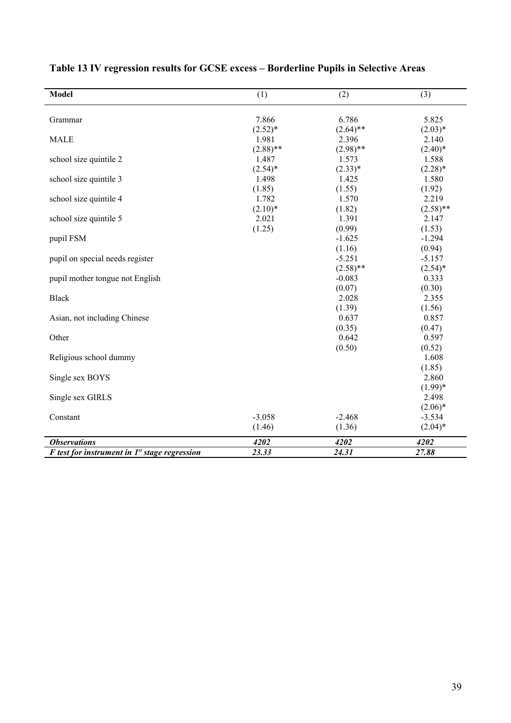| <b>Model</b>                                      | (1)         | (2)         | (3)         |
|---------------------------------------------------|-------------|-------------|-------------|
| Grammar                                           | 7.866       | 6.786       | 5.825       |
|                                                   | $(2.52)*$   | $(2.64)$ ** | $(2.03)*$   |
| <b>MALE</b>                                       | 1.981       | 2.396       | 2.140       |
|                                                   | $(2.88)$ ** | $(2.98)$ ** | $(2.40)^*$  |
| school size quintile 2                            | 1.487       | 1.573       | 1.588       |
|                                                   | $(2.54)^*$  | $(2.33)*$   | $(2.28)*$   |
| school size quintile 3                            | 1.498       | 1.425       | 1.580       |
|                                                   | (1.85)      | (1.55)      | (1.92)      |
| school size quintile 4                            | 1.782       | 1.570       | 2.219       |
|                                                   | $(2.10)*$   | (1.82)      | $(2.58)$ ** |
| school size quintile 5                            | 2.021       | 1.391       | 2.147       |
|                                                   | (1.25)      | (0.99)      | (1.53)      |
| pupil FSM                                         |             | $-1.625$    | $-1.294$    |
|                                                   |             | (1.16)      | (0.94)      |
| pupil on special needs register                   |             | $-5.251$    | $-5.157$    |
|                                                   |             | $(2.58)$ ** | $(2.54)^*$  |
| pupil mother tongue not English                   |             | $-0.083$    | 0.333       |
|                                                   |             | (0.07)      | (0.30)      |
| <b>Black</b>                                      |             | 2.028       | 2.355       |
|                                                   |             | (1.39)      | (1.56)      |
| Asian, not including Chinese                      |             | 0.637       | 0.857       |
|                                                   |             | (0.35)      | (0.47)      |
| Other                                             |             | 0.642       | 0.597       |
|                                                   |             | (0.50)      | (0.52)      |
| Religious school dummy                            |             |             | 1.608       |
|                                                   |             |             | (1.85)      |
| Single sex BOYS                                   |             |             | 2.860       |
|                                                   |             |             | $(1.99)*$   |
| Single sex GIRLS                                  |             |             | 2.498       |
|                                                   |             |             | $(2.06)*$   |
| Constant                                          | $-3.058$    | $-2.468$    | $-3.534$    |
|                                                   | (1.46)      | (1.36)      | $(2.04)^*$  |
|                                                   |             |             |             |
| <b>Observations</b>                               | 4202        | 4202        | 4202        |
| $F$ test for instrument in $Ist$ stage regression | 23.33       | 24.31       | 27.88       |

# **Table 13 IV regression results for GCSE excess – Borderline Pupils in Selective Areas**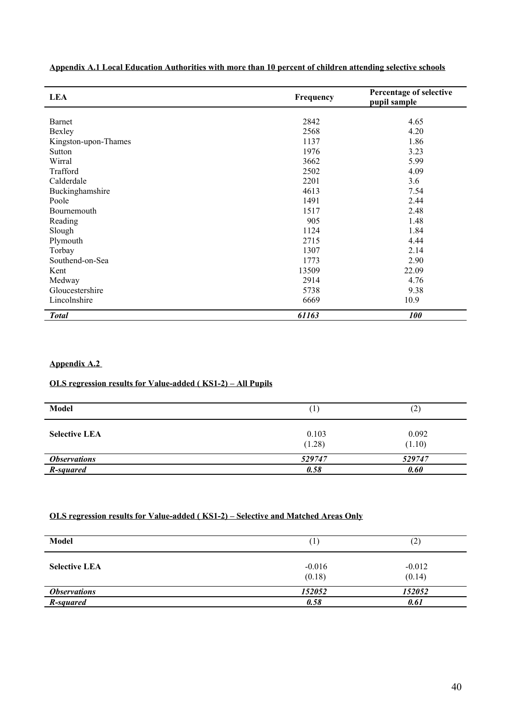| <b>LEA</b>           | Frequency |                   |
|----------------------|-----------|-------------------|
|                      |           |                   |
| Barnet               | 2842      | 4.65              |
| Bexley               | 2568      | 4.20              |
| Kingston-upon-Thames | 1137      | 1.86              |
| Sutton               | 1976      | 3.23              |
| Wirral               | 3662      | 5.99              |
| Trafford             | 2502      | 4.09              |
| Calderdale           | 2201      | 3.6               |
| Buckinghamshire      | 4613      | 7.54              |
| Poole                | 1491      | 2.44              |
| Bournemouth          | 1517      | 2.48              |
| Reading              | 905       | 1.48              |
| Slough               | 1124      | 1.84              |
| Plymouth             | 2715      | 4.44              |
| Torbay               | 1307      | 2.14              |
| Southend-on-Sea      | 1773      | 2.90              |
| Kent                 | 13509     | 22.09             |
| Medway               | 2914      | 4.76              |
| Gloucestershire      | 5738      | 9.38              |
| Lincolnshire         | 6669      | 10.9              |
|                      |           |                   |
| <b>Total</b>         | 61163     | <i><b>100</b></i> |

**Appendix A.1 Local Education Authorities with more than 10 percent of children attending selective schools**

# **Appendix A.2**

### **OLS regression results for Value-added ( KS1-2) – All Pupils**

| Model                      | $\mathbf{r}$    | ົາ`<br>⊂        |
|----------------------------|-----------------|-----------------|
| <b>Selective LEA</b>       | 0.103<br>(1.28) | 0.092<br>(1.10) |
| <i><b>Observations</b></i> | 529747          | 529747          |
| R-squared                  | 0.58            | 0.60            |

## **OLS regression results for Value-added ( KS1-2) – Selective and Matched Areas Only**

| Model                      | $\mathbf{r}$       | $\left( 2\right)$  |
|----------------------------|--------------------|--------------------|
| <b>Selective LEA</b>       | $-0.016$<br>(0.18) | $-0.012$<br>(0.14) |
| <i><b>Observations</b></i> | 152052             | 152052             |
| R-squared                  | 0.58               | 0.61               |